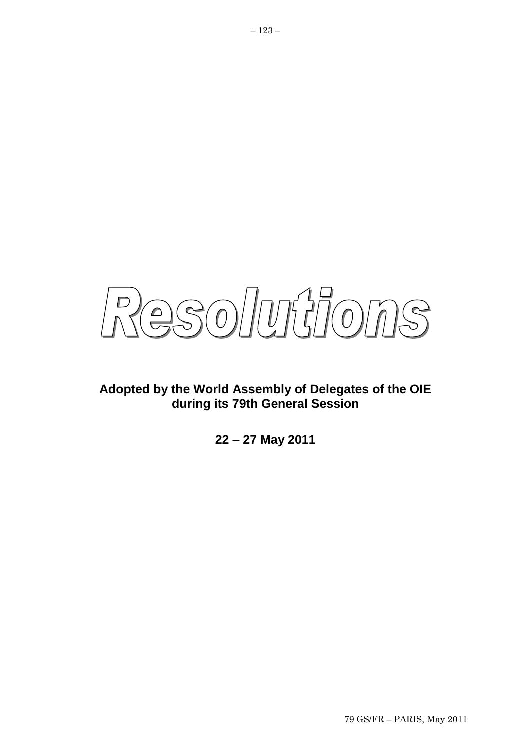

## **Adopted by the World Assembly of Delegates of the OIE during its 79th General Session**

**22 – 27 May 2011**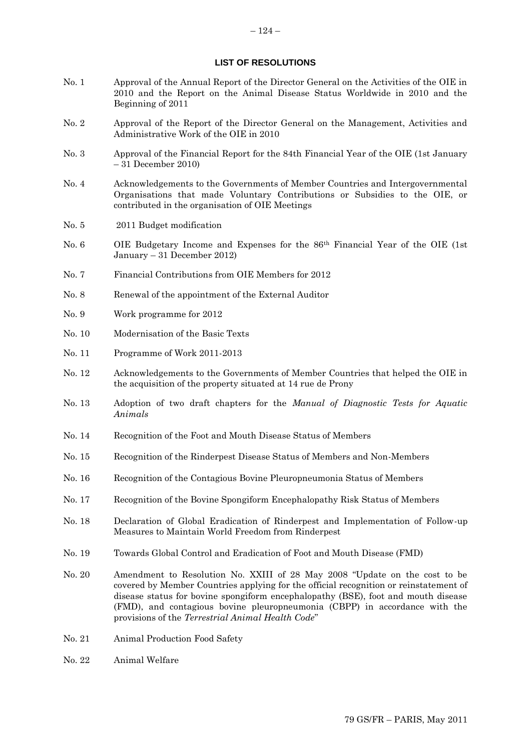#### **LIST OF RESOLUTIONS**

- No. 1 Approval of the Annual Report of the Director General on the Activities of the OIE in 2010 and the Report on the Animal Disease Status Worldwide in 2010 and the Beginning of 2011
- No. 2 Approval of the Report of the Director General on the Management, Activities and Administrative Work of the OIE in 2010
- No. 3 Approval of the Financial Report for the 84th Financial Year of the OIE (1st January – 31 December 2010)
- No. 4 Acknowledgements to the Governments of Member Countries and Intergovernmental Organisations that made Voluntary Contributions or Subsidies to the OIE, or contributed in the organisation of OIE Meetings
- No. 5 2011 Budget modification
- No. 6 OIE Budgetary Income and Expenses for the 86th Financial Year of the OIE (1st January – 31 December 2012)
- No. 7 Financial Contributions from OIE Members for 2012
- No. 8 Renewal of the appointment of the External Auditor
- No. 9 Work programme for 2012
- No. 10 Modernisation of the Basic Texts
- No. 11 Programme of Work 2011-2013
- No. 12 Acknowledgements to the Governments of Member Countries that helped the OIE in the acquisition of the property situated at 14 rue de Prony
- No. 13 Adoption of two draft chapters for the *Manual of Diagnostic Tests for Aquatic Animals*
- No. 14 Recognition of the Foot and Mouth Disease Status of Members
- No. 15 Recognition of the Rinderpest Disease Status of Members and Non-Members
- No. 16 Recognition of the Contagious Bovine Pleuropneumonia Status of Members
- No. 17 Recognition of the Bovine Spongiform Encephalopathy Risk Status of Members
- No. 18 Declaration of Global Eradication of Rinderpest and Implementation of Follow-up Measures to Maintain World Freedom from Rinderpest
- No. 19 Towards Global Control and Eradication of Foot and Mouth Disease (FMD)
- No. 20 Amendment to Resolution No. XXIII of 28 May 2008 "Update on the cost to be covered by Member Countries applying for the official recognition or reinstatement of disease status for bovine spongiform encephalopathy (BSE), foot and mouth disease (FMD), and contagious bovine pleuropneumonia (CBPP) in accordance with the provisions of the *Terrestrial Animal Health Code*"
- No. 21 Animal Production Food Safety
- No. 22 Animal Welfare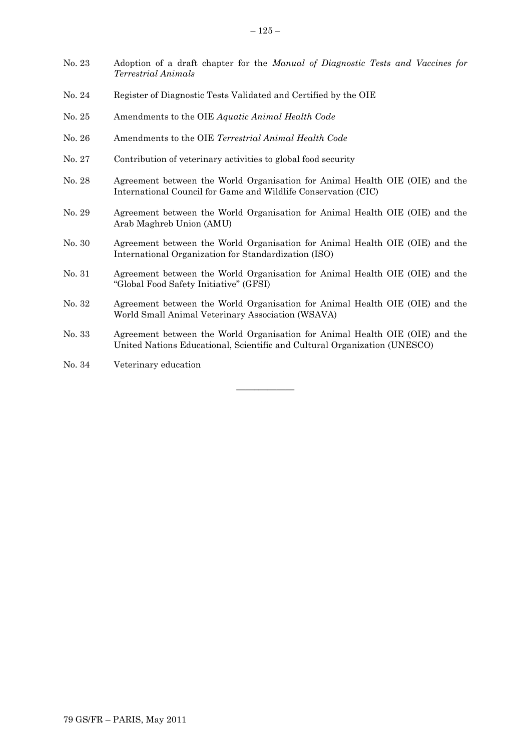- No. 23 Adoption of a draft chapter for the *Manual of Diagnostic Tests and Vaccines for Terrestrial Animals*
- No. 24 Register of Diagnostic Tests Validated and Certified by the OIE
- No. 25 Amendments to the OIE *Aquatic Animal Health Code*
- No. 26 Amendments to the OIE *Terrestrial Animal Health Code*
- No. 27 Contribution of veterinary activities to global food security
- No. 28 Agreement between the World Organisation for Animal Health OIE (OIE) and the International Council for Game and Wildlife Conservation (CIC)
- No. 29 Agreement between the World Organisation for Animal Health OIE (OIE) and the Arab Maghreb Union (AMU)
- No. 30 Agreement between the World Organisation for Animal Health OIE (OIE) and the International Organization for Standardization (ISO)
- No. 31 Agreement between the World Organisation for Animal Health OIE (OIE) and the "Global Food Safety Initiative" (GFSI)
- No. 32 Agreement between the World Organisation for Animal Health OIE (OIE) and the World Small Animal Veterinary Association (WSAVA)
- No. 33 Agreement between the World Organisation for Animal Health OIE (OIE) and the United Nations Educational, Scientific and Cultural Organization (UNESCO)

 $\overline{\phantom{a}}$  ,  $\overline{\phantom{a}}$  ,  $\overline{\phantom{a}}$  ,  $\overline{\phantom{a}}$  ,  $\overline{\phantom{a}}$  ,  $\overline{\phantom{a}}$  ,  $\overline{\phantom{a}}$  ,  $\overline{\phantom{a}}$  ,  $\overline{\phantom{a}}$  ,  $\overline{\phantom{a}}$  ,  $\overline{\phantom{a}}$  ,  $\overline{\phantom{a}}$  ,  $\overline{\phantom{a}}$  ,  $\overline{\phantom{a}}$  ,  $\overline{\phantom{a}}$  ,  $\overline{\phantom{a}}$ 

No. 34 Veterinary education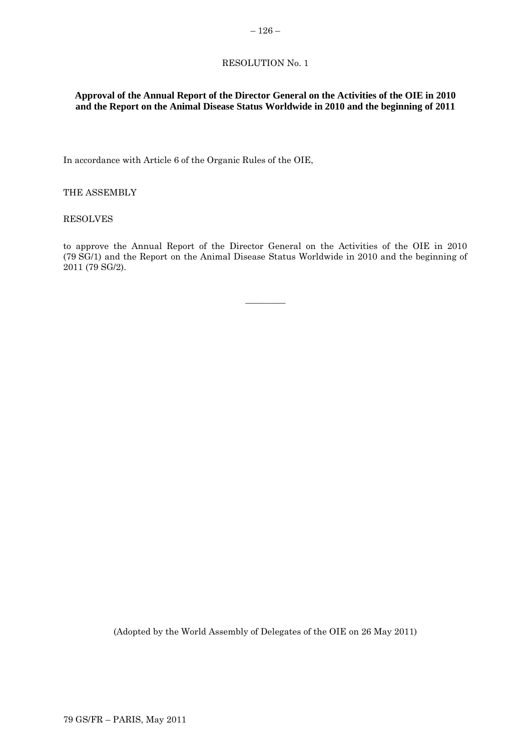## **Approval of the Annual Report of the Director General on the Activities of the OIE in 2010 and the Report on the Animal Disease Status Worldwide in 2010 and the beginning of 2011**

In accordance with Article 6 of the Organic Rules of the OIE,

THE ASSEMBLY

RESOLVES

to approve the Annual Report of the Director General on the Activities of the OIE in 2010 (79 SG/1) and the Report on the Animal Disease Status Worldwide in 2010 and the beginning of 2011 (79 SG/2).

 $\overline{\phantom{a}}$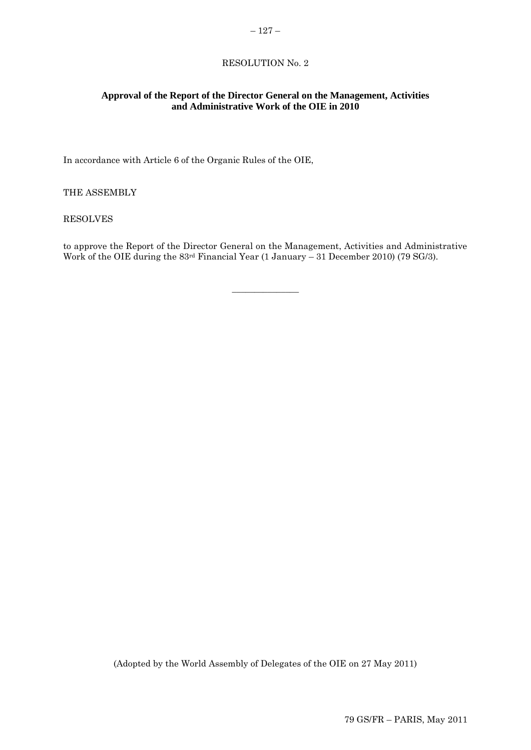$-127-$ 

## **Approval of the Report of the Director General on the Management, Activities and Administrative Work of the OIE in 2010**

In accordance with Article 6 of the Organic Rules of the OIE,

THE ASSEMBLY

RESOLVES

to approve the Report of the Director General on the Management, Activities and Administrative Work of the OIE during the 83rd Financial Year (1 January – 31 December 2010) (79 SG/3).

 $\overline{\phantom{a}}$  , where  $\overline{\phantom{a}}$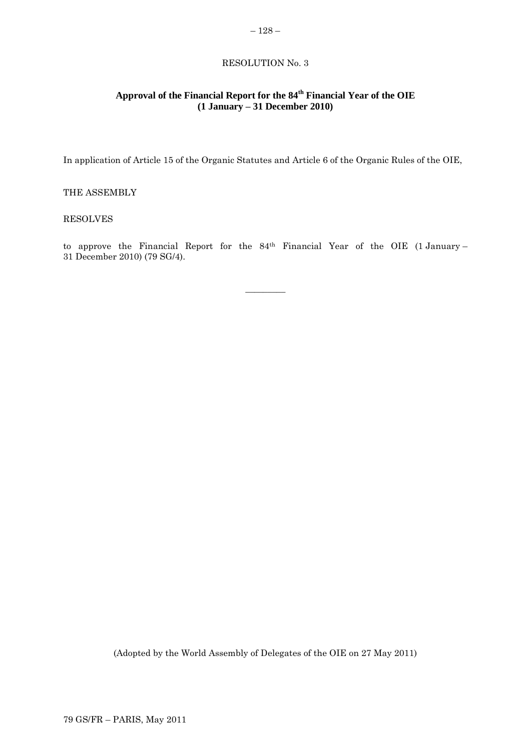## **Approval of the Financial Report for the 84th Financial Year of the OIE (1 January – 31 December 2010)**

In application of Article 15 of the Organic Statutes and Article 6 of the Organic Rules of the OIE,

## THE ASSEMBLY

## RESOLVES

to approve the Financial Report for the 84th Financial Year of the OIE (1 January – 31 December 2010) (79 SG/4).

 $\overline{\phantom{a}}$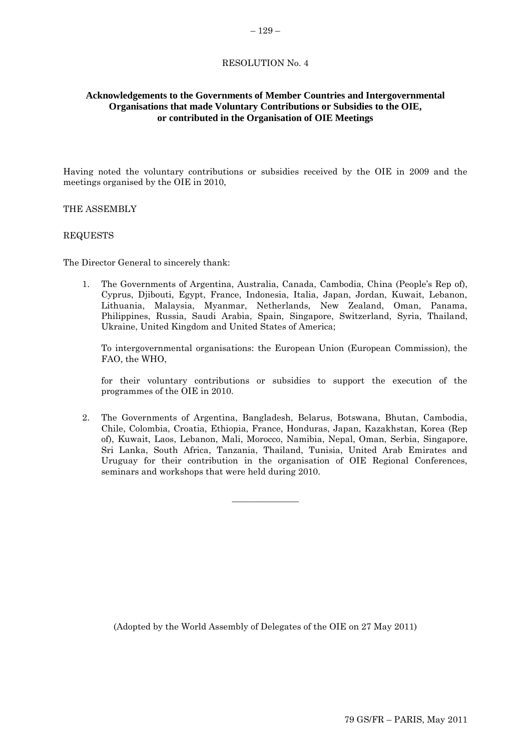## **Acknowledgements to the Governments of Member Countries and Intergovernmental Organisations that made Voluntary Contributions or Subsidies to the OIE, or contributed in the Organisation of OIE Meetings**

Having noted the voluntary contributions or subsidies received by the OIE in 2009 and the meetings organised by the OIE in 2010,

#### THE ASSEMBLY

#### REQUESTS

The Director General to sincerely thank:

1. The Governments of Argentina, Australia, Canada, Cambodia, China (People"s Rep of), Cyprus, Djibouti, Egypt, France, Indonesia, Italia, Japan, Jordan, Kuwait, Lebanon, Lithuania, Malaysia, Myanmar, Netherlands, New Zealand, Oman, Panama, Philippines, Russia, Saudi Arabia, Spain, Singapore, Switzerland, Syria, Thailand, Ukraine, United Kingdom and United States of America;

To intergovernmental organisations: the European Union (European Commission), the FAO, the WHO,

for their voluntary contributions or subsidies to support the execution of the programmes of the OIE in 2010.

2. The Governments of Argentina, Bangladesh, Belarus, Botswana, Bhutan, Cambodia, Chile, Colombia, Croatia, Ethiopia, France, Honduras, Japan, Kazakhstan, Korea (Rep of), Kuwait, Laos, Lebanon, Mali, Morocco, Namibia, Nepal, Oman, Serbia, Singapore, Sri Lanka, South Africa, Tanzania, Thailand, Tunisia, United Arab Emirates and Uruguay for their contribution in the organisation of OIE Regional Conferences, seminars and workshops that were held during 2010.

 $\overline{\phantom{a}}$  , where  $\overline{\phantom{a}}$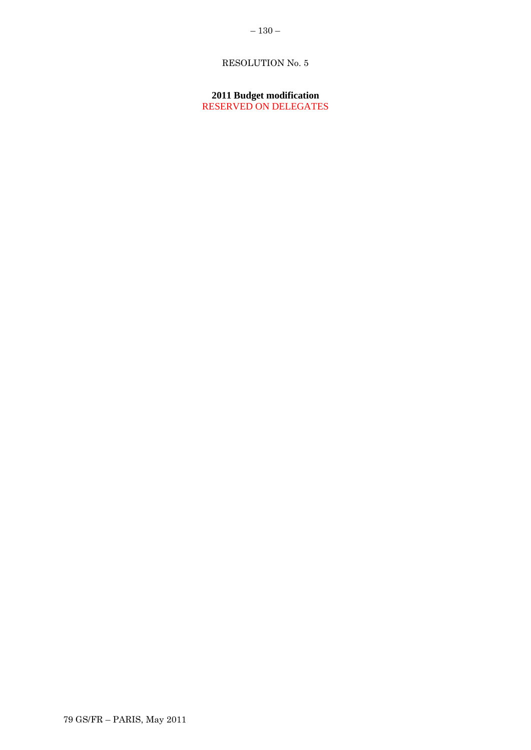**2011 Budget modification** RESERVED ON DELEGATES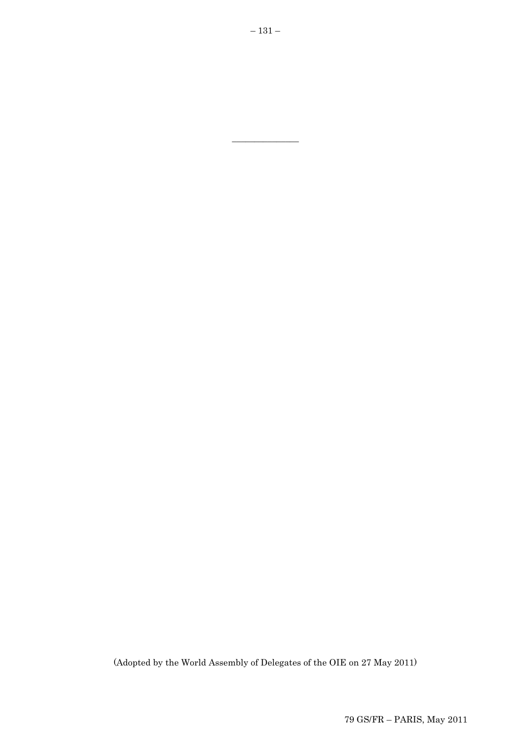(Adopted by the World Assembly of Delegates of the OIE on 27 May 2011)

 $\overline{\phantom{a}}$  , where  $\overline{\phantom{a}}$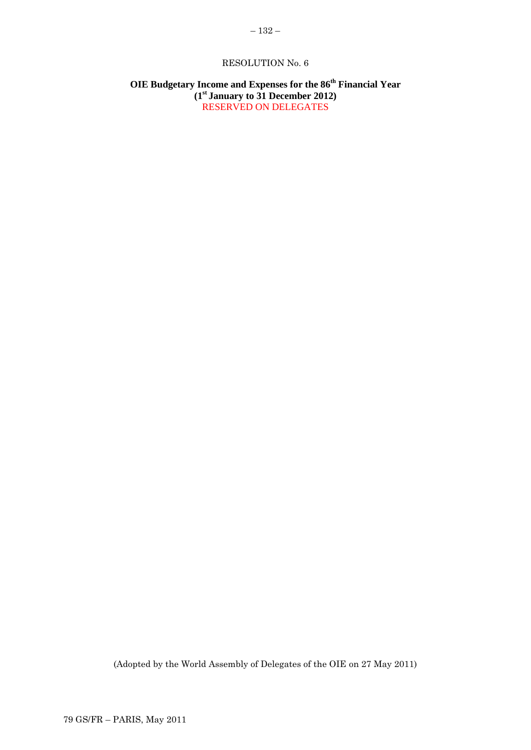## **OIE Budgetary Income and Expenses for the 86th Financial Year (1st January to 31 December 2012)** RESERVED ON DELEGATES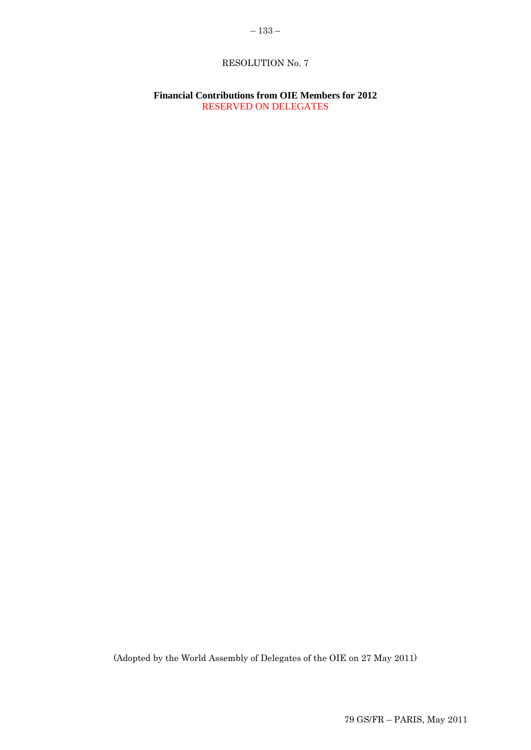## **Financial Contributions from OIE Members for 2012** RESERVED ON DELEGATES

(Adopted by the World Assembly of Delegates of the OIE on 27 May 2011)

79 GS/FR – PARIS, May 2011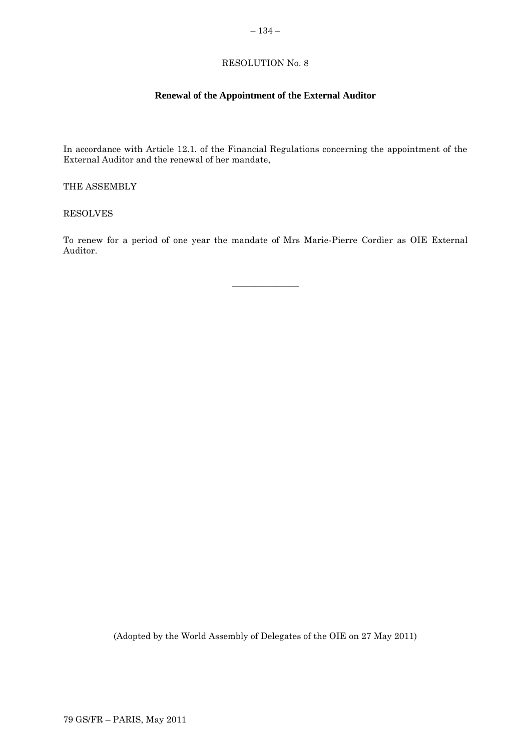## – 134 –

## RESOLUTION No. 8

## **Renewal of the Appointment of the External Auditor**

In accordance with Article 12.1. of the Financial Regulations concerning the appointment of the External Auditor and the renewal of her mandate,

THE ASSEMBLY

RESOLVES

To renew for a period of one year the mandate of Mrs Marie-Pierre Cordier as OIE External Auditor.

 $\overline{\phantom{a}}$  , where  $\overline{\phantom{a}}$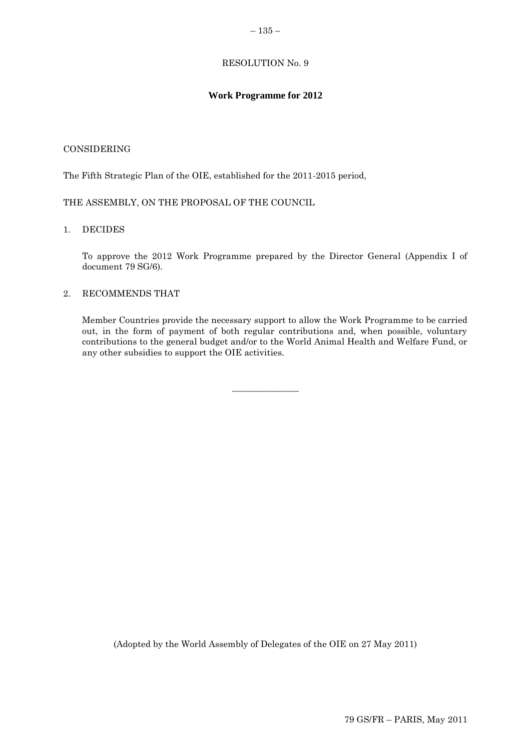## **Work Programme for 2012**

## CONSIDERING

The Fifth Strategic Plan of the OIE, established for the 2011-2015 period,

THE ASSEMBLY, ON THE PROPOSAL OF THE COUNCIL

## 1. DECIDES

To approve the 2012 Work Programme prepared by the Director General (Appendix I of document 79 SG/6).

## 2. RECOMMENDS THAT

Member Countries provide the necessary support to allow the Work Programme to be carried out, in the form of payment of both regular contributions and, when possible, voluntary contributions to the general budget and/or to the World Animal Health and Welfare Fund, or any other subsidies to support the OIE activities.

 $\overline{\phantom{a}}$  , where  $\overline{\phantom{a}}$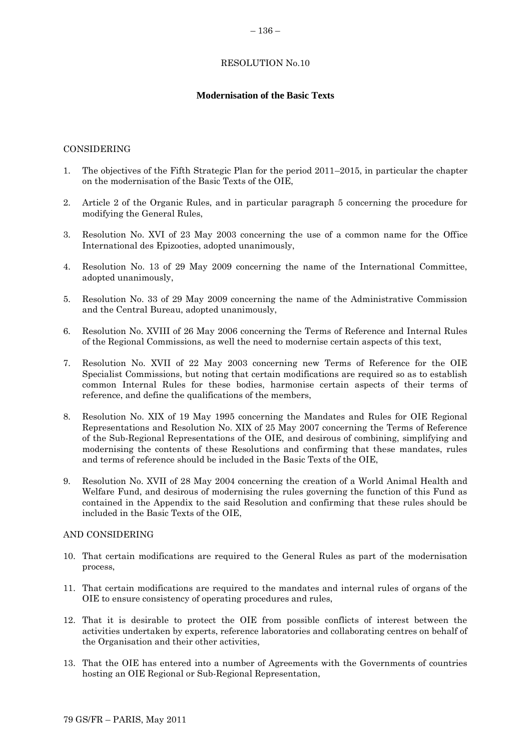## **Modernisation of the Basic Texts**

## CONSIDERING

- 1. The objectives of the Fifth Strategic Plan for the period 2011–2015, in particular the chapter on the modernisation of the Basic Texts of the OIE,
- 2. Article 2 of the Organic Rules, and in particular paragraph 5 concerning the procedure for modifying the General Rules,
- 3. Resolution No. XVI of 23 May 2003 concerning the use of a common name for the Office International des Epizooties, adopted unanimously,
- 4. Resolution No. 13 of 29 May 2009 concerning the name of the International Committee, adopted unanimously,
- 5. Resolution No. 33 of 29 May 2009 concerning the name of the Administrative Commission and the Central Bureau, adopted unanimously,
- 6. Resolution No. XVIII of 26 May 2006 concerning the Terms of Reference and Internal Rules of the Regional Commissions, as well the need to modernise certain aspects of this text,
- 7. Resolution No. XVII of 22 May 2003 concerning new Terms of Reference for the OIE Specialist Commissions, but noting that certain modifications are required so as to establish common Internal Rules for these bodies, harmonise certain aspects of their terms of reference, and define the qualifications of the members,
- 8. Resolution No. XIX of 19 May 1995 concerning the Mandates and Rules for OIE Regional Representations and Resolution No. XIX of 25 May 2007 concerning the Terms of Reference of the Sub-Regional Representations of the OIE, and desirous of combining, simplifying and modernising the contents of these Resolutions and confirming that these mandates, rules and terms of reference should be included in the Basic Texts of the OIE,
- 9. Resolution No. XVII of 28 May 2004 concerning the creation of a World Animal Health and Welfare Fund, and desirous of modernising the rules governing the function of this Fund as contained in the Appendix to the said Resolution and confirming that these rules should be included in the Basic Texts of the OIE,

#### AND CONSIDERING

- 10. That certain modifications are required to the General Rules as part of the modernisation process,
- 11. That certain modifications are required to the mandates and internal rules of organs of the OIE to ensure consistency of operating procedures and rules,
- 12. That it is desirable to protect the OIE from possible conflicts of interest between the activities undertaken by experts, reference laboratories and collaborating centres on behalf of the Organisation and their other activities,
- 13. That the OIE has entered into a number of Agreements with the Governments of countries hosting an OIE Regional or Sub-Regional Representation,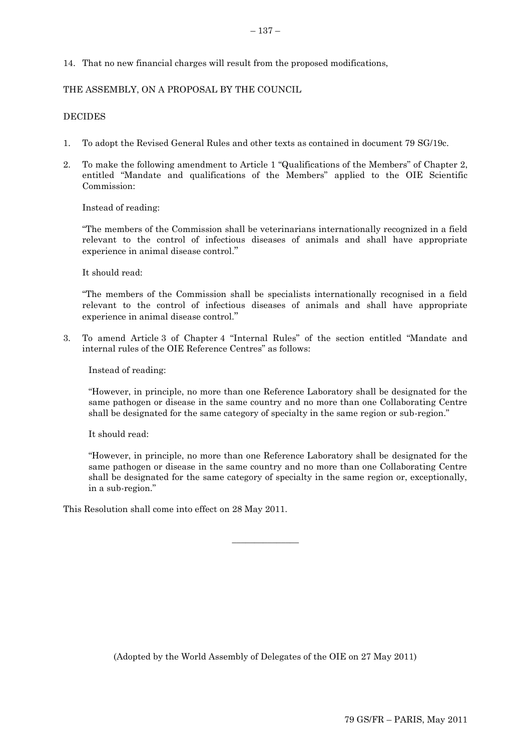14. That no new financial charges will result from the proposed modifications,

## THE ASSEMBLY, ON A PROPOSAL BY THE COUNCIL

## **DECIDES**

- 1. To adopt the Revised General Rules and other texts as contained in document 79 SG/19c.
- 2. To make the following amendment to Article 1 "Qualifications of the Members" of Chapter 2, entitled "Mandate and qualifications of the Members" applied to the OIE Scientific Commission:

Instead of reading:

"The members of the Commission shall be veterinarians internationally recognized in a field relevant to the control of infectious diseases of animals and shall have appropriate experience in animal disease control."

It should read:

"The members of the Commission shall be specialists internationally recognised in a field relevant to the control of infectious diseases of animals and shall have appropriate experience in animal disease control."

3. To amend Article 3 of Chapter 4 "Internal Rules" of the section entitled "Mandate and internal rules of the OIE Reference Centres" as follows:

Instead of reading:

"However, in principle, no more than one Reference Laboratory shall be designated for the same pathogen or disease in the same country and no more than one Collaborating Centre shall be designated for the same category of specialty in the same region or sub-region."

It should read:

"However, in principle, no more than one Reference Laboratory shall be designated for the same pathogen or disease in the same country and no more than one Collaborating Centre shall be designated for the same category of specialty in the same region or, exceptionally, in a sub-region."

This Resolution shall come into effect on 28 May 2011.

(Adopted by the World Assembly of Delegates of the OIE on 27 May 2011)

 $\overline{\phantom{a}}$  , where  $\overline{\phantom{a}}$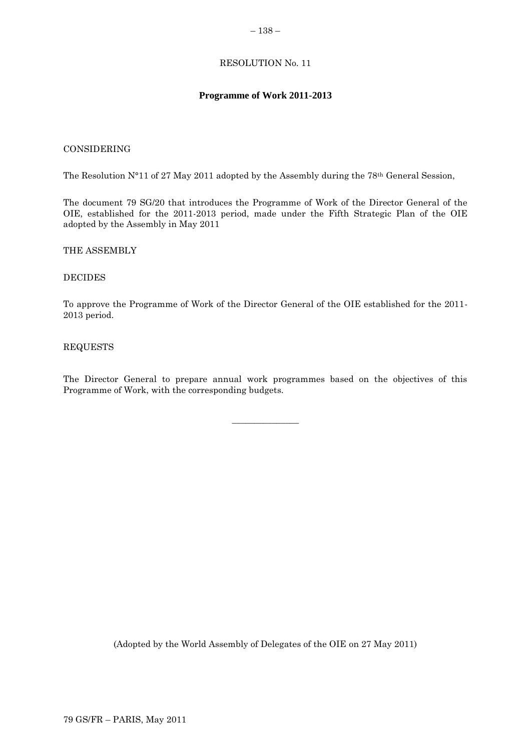## **Programme of Work 2011-2013**

## CONSIDERING

The Resolution N°11 of 27 May 2011 adopted by the Assembly during the 78th General Session,

The document 79 SG/20 that introduces the Programme of Work of the Director General of the OIE, established for the 2011-2013 period, made under the Fifth Strategic Plan of the OIE adopted by the Assembly in May 2011

#### THE ASSEMBLY

#### DECIDES

To approve the Programme of Work of the Director General of the OIE established for the 2011- 2013 period.

#### REQUESTS

The Director General to prepare annual work programmes based on the objectives of this Programme of Work, with the corresponding budgets.

 $\overline{\phantom{a}}$  , where  $\overline{\phantom{a}}$ 

(Adopted by the World Assembly of Delegates of the OIE on 27 May 2011)

#### – 138 –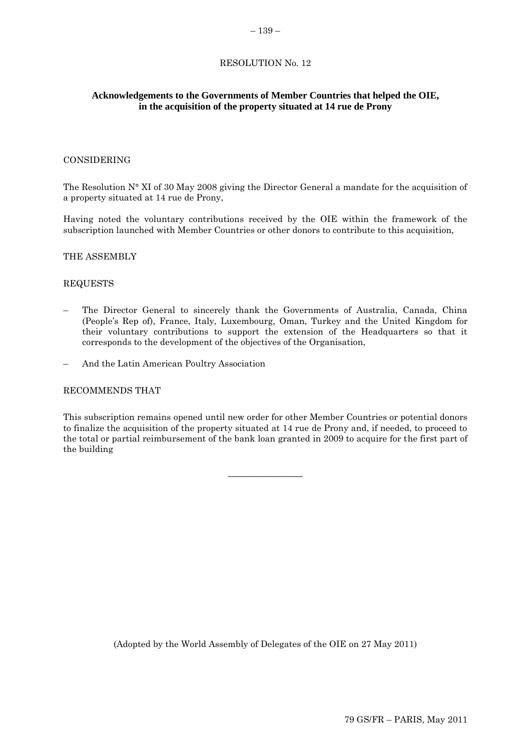## **Acknowledgements to the Governments of Member Countries that helped the OIE, in the acquisition of the property situated at 14 rue de Prony**

#### CONSIDERING

The Resolution N° XI of 30 May 2008 giving the Director General a mandate for the acquisition of a property situated at 14 rue de Prony,

Having noted the voluntary contributions received by the OIE within the framework of the subscription launched with Member Countries or other donors to contribute to this acquisition,

#### THE ASSEMBLY

#### REQUESTS

- The Director General to sincerely thank the Governments of Australia, Canada, China (People"s Rep of), France, Italy, Luxembourg, Oman, Turkey and the United Kingdom for their voluntary contributions to support the extension of the Headquarters so that it corresponds to the development of the objectives of the Organisation,
- And the Latin American Poultry Association

#### RECOMMENDS THAT

This subscription remains opened until new order for other Member Countries or potential donors to finalize the acquisition of the property situated at 14 rue de Prony and, if needed, to proceed to the total or partial reimbursement of the bank loan granted in 2009 to acquire for the first part of the building

**\_\_\_\_\_\_\_\_\_\_\_\_\_\_**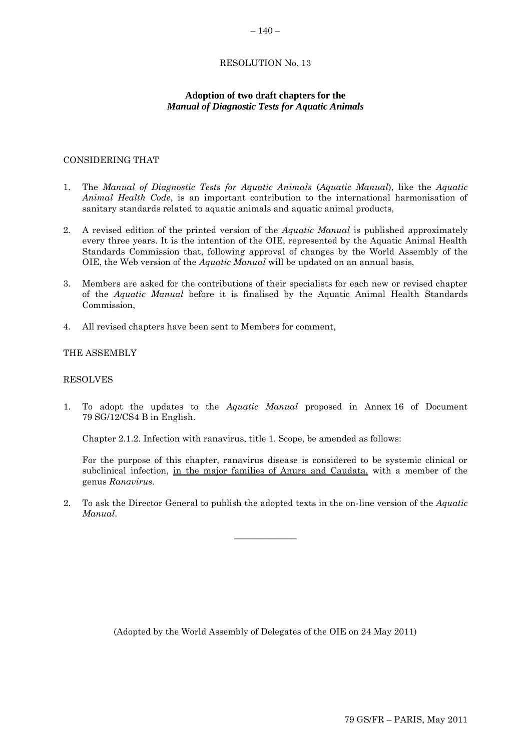## **Adoption of two draft chapters for the**  *Manual of Diagnostic Tests for Aquatic Animals*

## CONSIDERING THAT

- 1. The *Manual of Diagnostic Tests for Aquatic Animals* (*Aquatic Manual*), like the *Aquatic Animal Health Code*, is an important contribution to the international harmonisation of sanitary standards related to aquatic animals and aquatic animal products,
- 2. A revised edition of the printed version of the *Aquatic Manual* is published approximately every three years. It is the intention of the OIE, represented by the Aquatic Animal Health Standards Commission that, following approval of changes by the World Assembly of the OIE, the Web version of the *Aquatic Manual* will be updated on an annual basis,
- 3. Members are asked for the contributions of their specialists for each new or revised chapter of the *Aquatic Manual* before it is finalised by the Aquatic Animal Health Standards Commission,
- 4. All revised chapters have been sent to Members for comment,

#### THE ASSEMBLY

#### RESOLVES

1. To adopt the updates to the *Aquatic Manual* proposed in Annex 16 of Document 79 SG/12/CS4 B in English.

Chapter 2.1.2. Infection with ranavirus, title 1. Scope, be amended as follows:

For the purpose of this chapter, ranavirus disease is considered to be systemic clinical or subclinical infection, in the major families of Anura and Caudata, with a member of the genus *Ranavirus.*

2. To ask the Director General to publish the adopted texts in the on-line version of the *Aquatic Manual*.

 $\overline{\phantom{a}}$  , where  $\overline{\phantom{a}}$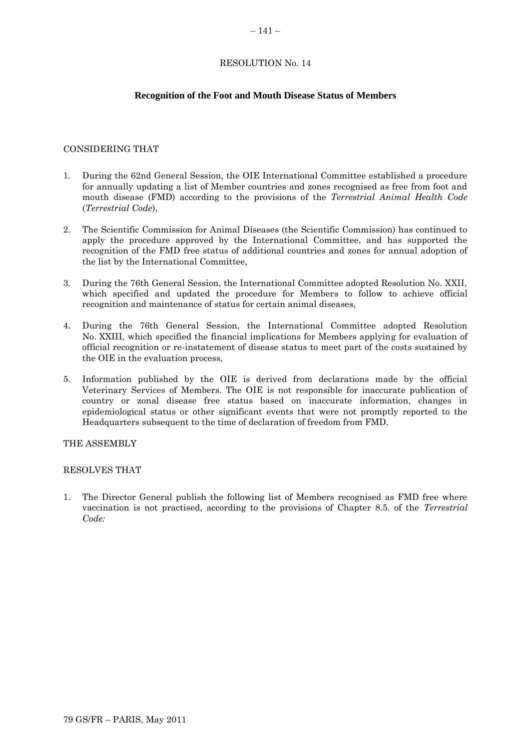#### **Recognition of the Foot and Mouth Disease Status of Members**

## CONSIDERING THAT

- 1. During the 62nd General Session, the OIE International Committee established a procedure for annually updating a list of Member countries and zones recognised as free from foot and mouth disease (FMD) according to the provisions of the *Terrestrial Animal Health Code*  (*Terrestrial Code*),
- 2. The Scientific Commission for Animal Diseases (the Scientific Commission) has continued to apply the procedure approved by the International Committee, and has supported the recognition of the FMD free status of additional countries and zones for annual adoption of the list by the International Committee,
- 3. During the 76th General Session, the International Committee adopted Resolution No. XXII, which specified and updated the procedure for Members to follow to achieve official recognition and maintenance of status for certain animal diseases,
- 4. During the 76th General Session, the International Committee adopted Resolution No. XXIII, which specified the financial implications for Members applying for evaluation of official recognition or re-instatement of disease status to meet part of the costs sustained by the OIE in the evaluation process,
- 5. Information published by the OIE is derived from declarations made by the official Veterinary Services of Members. The OIE is not responsible for inaccurate publication of country or zonal disease free status based on inaccurate information, changes in epidemiological status or other significant events that were not promptly reported to the Headquarters subsequent to the time of declaration of freedom from FMD.

THE ASSEMBLY

#### RESOLVES THAT

1. The Director General publish the following list of Members recognised as FMD free where vaccination is not practised, according to the provisions of Chapter 8.5. of the *Terrestrial Code:*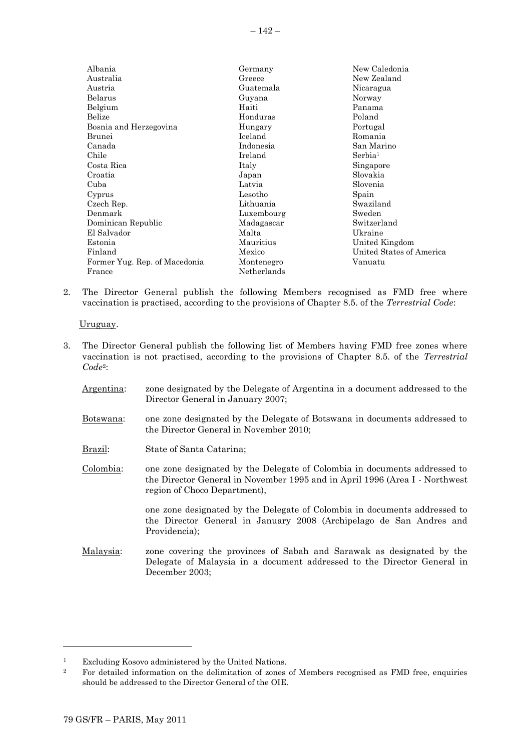| Albania                       | Germany     | New Caledonia            |
|-------------------------------|-------------|--------------------------|
| Australia                     | Greece      | New Zealand              |
| Austria                       | Guatemala   | Nicaragua                |
| Belarus                       | Guyana      | Norway                   |
| Belgium                       | Haiti       | Panama                   |
| Belize                        | Honduras    | Poland                   |
| Bosnia and Herzegovina        | Hungary     | Portugal                 |
| Brunei                        | Iceland     | Romania                  |
| Canada                        | Indonesia   | San Marino               |
| Chile                         | Ireland     | Serbia <sup>1</sup>      |
| Costa Rica                    | Italy       | Singapore                |
| Croatia                       | Japan       | Slovakia                 |
| Cuba                          | Latvia      | Slovenia                 |
| Cyprus                        | Lesotho     | Spain                    |
| Czech Rep.                    | Lithuania   | Swaziland                |
| Denmark                       | Luxembourg  | Sweden                   |
| Dominican Republic            | Madagascar  | Switzerland              |
| El Salvador                   | Malta       | Ukraine                  |
| Estonia                       | Mauritius   | United Kingdom           |
| Finland                       | Mexico      | United States of America |
| Former Yug. Rep. of Macedonia | Montenegro  | Vanuatu                  |
| France                        | Netherlands |                          |

2. The Director General publish the following Members recognised as FMD free where vaccination is practised, according to the provisions of Chapter 8.5. of the *Terrestrial Code*:

Uruguay.

- 3. The Director General publish the following list of Members having FMD free zones where vaccination is not practised, according to the provisions of Chapter 8.5. of the *Terrestrial Code*2:
	- Argentina: zone designated by the Delegate of Argentina in a document addressed to the Director General in January 2007;
	- Botswana: one zone designated by the Delegate of Botswana in documents addressed to the Director General in November 2010;
	- Brazil: State of Santa Catarina;
	- Colombia: one zone designated by the Delegate of Colombia in documents addressed to the Director General in November 1995 and in April 1996 (Area I - Northwest region of Choco Department),

one zone designated by the Delegate of Colombia in documents addressed to the Director General in January 2008 (Archipelago de San Andres and Providencia);

Malaysia: zone covering the provinces of Sabah and Sarawak as designated by the Delegate of Malaysia in a document addressed to the Director General in December 2003;

l

<sup>1</sup> Excluding Kosovo administered by the United Nations.

<sup>&</sup>lt;sup>2</sup> For detailed information on the delimitation of zones of Members recognised as FMD free, enquiries should be addressed to the Director General of the OIE.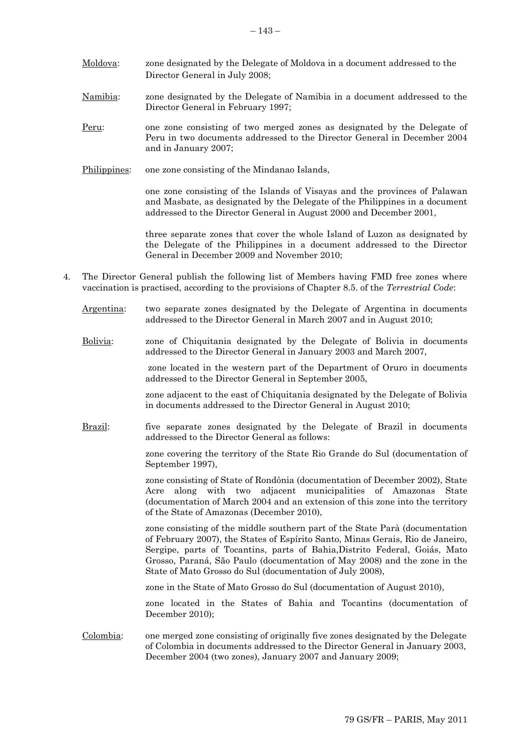- Moldova: zone designated by the Delegate of Moldova in a document addressed to the Director General in July 2008;
- Namibia: zone designated by the Delegate of Namibia in a document addressed to the Director General in February 1997;
- Peru: one zone consisting of two merged zones as designated by the Delegate of Peru in two documents addressed to the Director General in December 2004 and in January 2007;
- Philippines: one zone consisting of the Mindanao Islands,

one zone consisting of the Islands of Visayas and the provinces of Palawan and Masbate, as designated by the Delegate of the Philippines in a document addressed to the Director General in August 2000 and December 2001,

three separate zones that cover the whole Island of Luzon as designated by the Delegate of the Philippines in a document addressed to the Director General in December 2009 and November 2010;

- 4. The Director General publish the following list of Members having FMD free zones where vaccination is practised, according to the provisions of Chapter 8.5. of the *Terrestrial Code*:
	- Argentina: two separate zones designated by the Delegate of Argentina in documents addressed to the Director General in March 2007 and in August 2010;
	- Bolivia: zone of Chiquitania designated by the Delegate of Bolivia in documents addressed to the Director General in January 2003 and March 2007,

zone located in the western part of the Department of Oruro in documents addressed to the Director General in September 2005,

zone adjacent to the east of Chiquitania designated by the Delegate of Bolivia in documents addressed to the Director General in August 2010;

Brazil: five separate zones designated by the Delegate of Brazil in documents addressed to the Director General as follows:

> zone covering the territory of the State Rio Grande do Sul (documentation of September 1997),

zone consisting of State of Rondônia (documentation of December 2002), State Acre along with two adjacent municipalities of Amazonas State (documentation of March 2004 and an extension of this zone into the territory of the State of Amazonas (December 2010),

zone consisting of the middle southern part of the State Parà (documentation of February 2007), the States of Espírito Santo, Minas Gerais, Rio de Janeiro, Sergipe, parts of Tocantins, parts of Bahia,Distrito Federal, Goiás, Mato Grosso, Paraná, São Paulo (documentation of May 2008) and the zone in the State of Mato Grosso do Sul (documentation of July 2008),

zone in the State of Mato Grosso do Sul (documentation of August 2010),

zone located in the States of Bahia and Tocantins (documentation of December 2010);

Colombia: one merged zone consisting of originally five zones designated by the Delegate of Colombia in documents addressed to the Director General in January 2003, December 2004 (two zones), January 2007 and January 2009;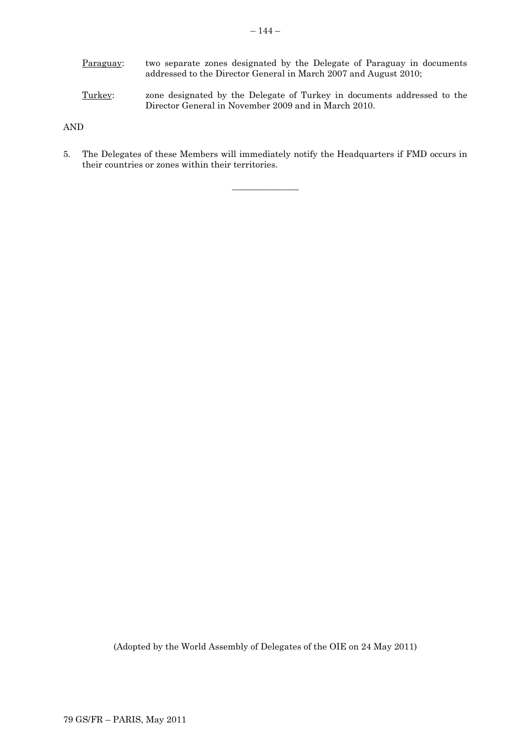Paraguay: two separate zones designated by the Delegate of Paraguay in documents addressed to the Director General in March 2007 and August 2010;

Turkey: zone designated by the Delegate of Turkey in documents addressed to the Director General in November 2009 and in March 2010.

AND

5. The Delegates of these Members will immediately notify the Headquarters if FMD occurs in their countries or zones within their territories.

 $\overline{\phantom{a}}$  , where  $\overline{\phantom{a}}$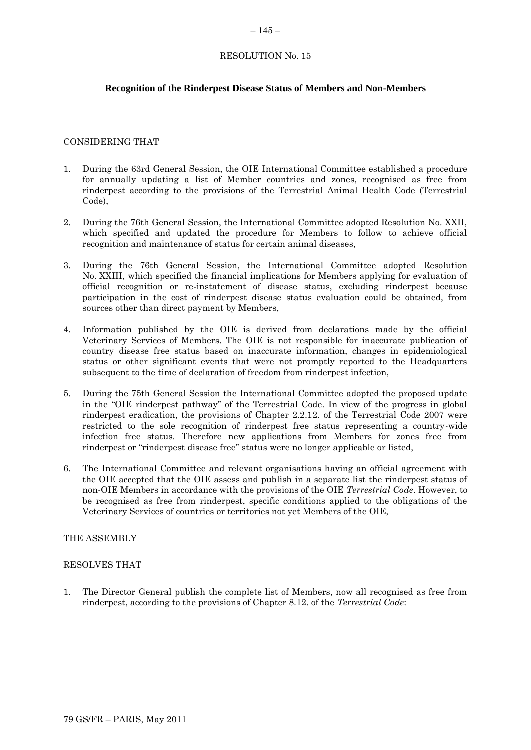## **Recognition of the Rinderpest Disease Status of Members and Non-Members**

#### CONSIDERING THAT

- 1. During the 63rd General Session, the OIE International Committee established a procedure for annually updating a list of Member countries and zones, recognised as free from rinderpest according to the provisions of the Terrestrial Animal Health Code (Terrestrial Code),
- 2. During the 76th General Session, the International Committee adopted Resolution No. XXII, which specified and updated the procedure for Members to follow to achieve official recognition and maintenance of status for certain animal diseases,
- 3. During the 76th General Session, the International Committee adopted Resolution No. XXIII, which specified the financial implications for Members applying for evaluation of official recognition or re-instatement of disease status, excluding rinderpest because participation in the cost of rinderpest disease status evaluation could be obtained, from sources other than direct payment by Members,
- 4. Information published by the OIE is derived from declarations made by the official Veterinary Services of Members. The OIE is not responsible for inaccurate publication of country disease free status based on inaccurate information, changes in epidemiological status or other significant events that were not promptly reported to the Headquarters subsequent to the time of declaration of freedom from rinderpest infection,
- 5. During the 75th General Session the International Committee adopted the proposed update in the "OIE rinderpest pathway" of the Terrestrial Code. In view of the progress in global rinderpest eradication, the provisions of Chapter 2.2.12. of the Terrestrial Code 2007 were restricted to the sole recognition of rinderpest free status representing a country-wide infection free status. Therefore new applications from Members for zones free from rinderpest or "rinderpest disease free" status were no longer applicable or listed,
- 6. The International Committee and relevant organisations having an official agreement with the OIE accepted that the OIE assess and publish in a separate list the rinderpest status of non-OIE Members in accordance with the provisions of the OIE *Terrestrial Code*. However, to be recognised as free from rinderpest, specific conditions applied to the obligations of the Veterinary Services of countries or territories not yet Members of the OIE,

#### THE ASSEMBLY

#### RESOLVES THAT

1. The Director General publish the complete list of Members, now all recognised as free from rinderpest, according to the provisions of Chapter 8.12. of the *Terrestrial Code*: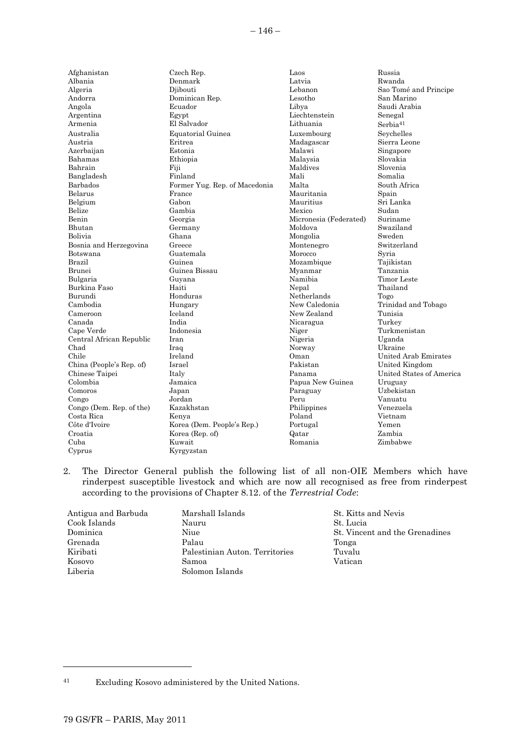| Afghanistan              | Czech Rep.                    | Laos                   | Russia                   |
|--------------------------|-------------------------------|------------------------|--------------------------|
| Albania                  | Denmark                       | Latvia                 | Rwanda                   |
| Algeria                  | Djibouti                      | Lebanon                | Sao Tomé and Principe    |
| Andorra                  | Dominican Rep.                | Lesotho                | San Marino               |
| Angola                   | Ecuador                       | Libya                  | Saudi Arabia             |
| Argentina                | Egypt                         | Liechtenstein          | Senegal                  |
| Armenia                  | El Salvador                   | Lithuania              | Serbia <sup>41</sup>     |
| Australia                | Equatorial Guinea             | Luxembourg             | Seychelles               |
| Austria                  | Eritrea                       | Madagascar             | Sierra Leone             |
| Azerbaijan               | Estonia                       | Malawi                 | Singapore                |
| Bahamas                  | Ethiopia                      | Malaysia               | Slovakia                 |
| Bahrain                  | Fiji                          | Maldives               | Slovenia                 |
| Bangladesh               | Finland                       | Mali                   | Somalia                  |
| Barbados                 | Former Yug. Rep. of Macedonia | Malta                  | South Africa             |
| Belarus                  | France                        | Mauritania             | Spain                    |
| Belgium                  | Gabon                         | Mauritius              | Sri Lanka                |
| Belize                   | Gambia                        | Mexico                 | Sudan                    |
| Benin                    | Georgia                       | Micronesia (Federated) | Suriname                 |
| Bhutan                   | Germany                       | Moldova                | Swaziland                |
| Bolivia                  | Ghana                         | Mongolia               | Sweden                   |
| Bosnia and Herzegovina   | Greece                        | Montenegro             | Switzerland              |
| Botswana                 | Guatemala                     | Morocco                | Syria                    |
| Brazil                   | Guinea                        | Mozambique             | Tajikistan               |
| Brunei                   | Guinea Bissau                 | Myanmar                | Tanzania                 |
| Bulgaria                 | Guyana                        | Namibia                | Timor Leste              |
| Burkina Faso             | Haiti                         | Nepal                  | Thailand                 |
| Burundi                  | Honduras                      | Netherlands            | Togo                     |
| Cambodia                 | Hungary                       | New Caledonia          | Trinidad and Tobago      |
| Cameroon                 | Iceland                       | New Zealand            | Tunisia                  |
| Canada                   | India                         | Nicaragua              | Turkey                   |
| Cape Verde               | Indonesia                     | Niger                  | Turkmenistan             |
| Central African Republic | Iran                          | Nigeria                | Uganda                   |
| Chad                     | Iraq                          | Norway                 | Ukraine                  |
| Chile                    | Ireland                       | Oman                   | United Arab Emirates     |
| China (People's Rep. of) | Israel                        | Pakistan               | United Kingdom           |
| Chinese Taipei           | Italy                         | Panama                 | United States of America |
| Colombia                 | Jamaica                       | Papua New Guinea       | Uruguay                  |
| Comoros                  | Japan                         | Paraguay               | Uzbekistan               |
| Congo                    | Jordan                        | Peru                   | Vanuatu                  |
| Congo (Dem. Rep. of the) | Kazakhstan                    | Philippines            | Venezuela                |
| Costa Rica               | Kenya                         | Poland                 | Vietnam                  |
| Côte d'Ivoire            | Korea (Dem. People's Rep.)    | Portugal               | Yemen                    |
| Croatia                  | Korea (Rep. of)               | Qatar                  | Zambia                   |
| Cuba                     | Kuwait                        | Romania                | Zimbabwe                 |
| Cyprus                   | Kyrgyzstan                    |                        |                          |
|                          |                               |                        |                          |

2. The Director General publish the following list of all non-OIE Members which have rinderpest susceptible livestock and which are now all recognised as free from rinderpest according to the provisions of Chapter 8.12. of the *Terrestrial Code*:

| Antigua and Barbuda | Marshall Islands               | St. Kitts |
|---------------------|--------------------------------|-----------|
| Cook Islands        | Nauru                          | St. Lucia |
| Dominica            | Niue                           | St. Vince |
| Grenada             | Palau                          | Tonga     |
| Kiribati            | Palestinian Auton. Territories | Tuvalu    |
| Kosovo              | Samoa                          | Vatican   |
| Liberia             | Solomon Islands                |           |

St. Kitts and Nevis St. Vincent and the Grenadines

l

<sup>41</sup> Excluding Kosovo administered by the United Nations.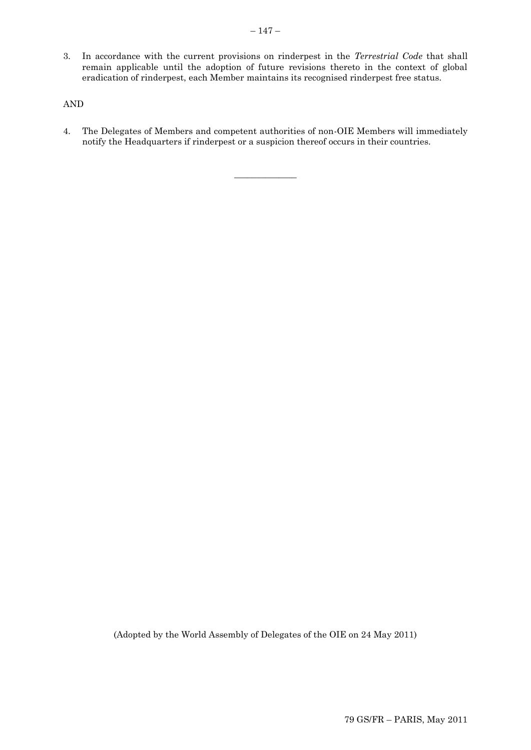3. In accordance with the current provisions on rinderpest in the *Terrestrial Code* that shall remain applicable until the adoption of future revisions thereto in the context of global eradication of rinderpest, each Member maintains its recognised rinderpest free status.

## AND

4. The Delegates of Members and competent authorities of non-OIE Members will immediately notify the Headquarters if rinderpest or a suspicion thereof occurs in their countries.

 $\overline{\phantom{a}}$  , where  $\overline{\phantom{a}}$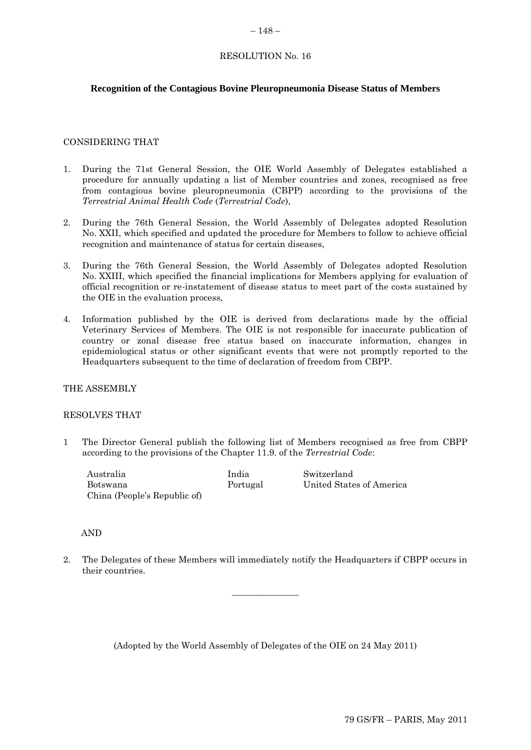#### $-148-$

## RESOLUTION No. 16

## **Recognition of the Contagious Bovine Pleuropneumonia Disease Status of Members**

#### CONSIDERING THAT

- 1. During the 71st General Session, the OIE World Assembly of Delegates established a procedure for annually updating a list of Member countries and zones, recognised as free from contagious bovine pleuropneumonia (CBPP) according to the provisions of the *Terrestrial Animal Health Code* (*Terrestrial Code*),
- 2. During the 76th General Session, the World Assembly of Delegates adopted Resolution No. XXII, which specified and updated the procedure for Members to follow to achieve official recognition and maintenance of status for certain diseases,
- 3. During the 76th General Session, the World Assembly of Delegates adopted Resolution No. XXIII, which specified the financial implications for Members applying for evaluation of official recognition or re-instatement of disease status to meet part of the costs sustained by the OIE in the evaluation process,
- 4. Information published by the OIE is derived from declarations made by the official Veterinary Services of Members. The OIE is not responsible for inaccurate publication of country or zonal disease free status based on inaccurate information, changes in epidemiological status or other significant events that were not promptly reported to the Headquarters subsequent to the time of declaration of freedom from CBPP.

## THE ASSEMBLY

#### RESOLVES THAT

1 The Director General publish the following list of Members recognised as free from CBPP according to the provisions of the Chapter 11.9. of the *Terrestrial Code*:

| Australia                    | India    | Switzerland              |
|------------------------------|----------|--------------------------|
| Botswana                     | Portugal | United States of America |
| China (People's Republic of) |          |                          |

#### AND

2. The Delegates of these Members will immediately notify the Headquarters if CBPP occurs in their countries.

 $\overline{\phantom{a}}$  , where  $\overline{\phantom{a}}$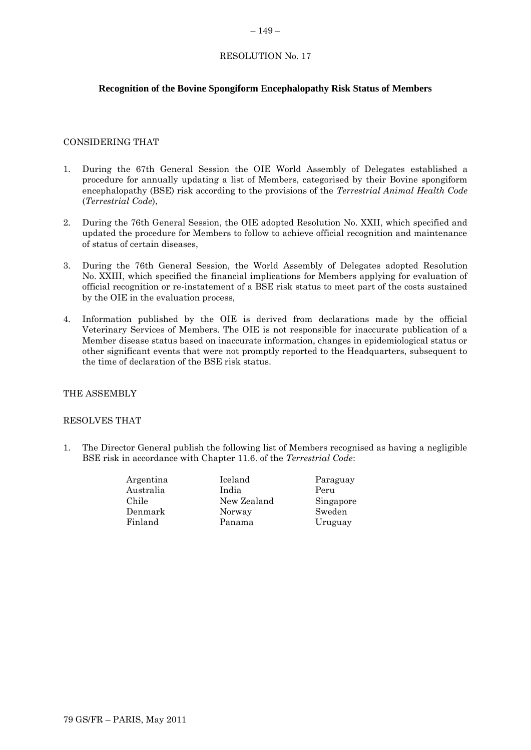#### $-149-$

## RESOLUTION No. 17

## **Recognition of the Bovine Spongiform Encephalopathy Risk Status of Members**

#### CONSIDERING THAT

- 1. During the 67th General Session the OIE World Assembly of Delegates established a procedure for annually updating a list of Members, categorised by their Bovine spongiform encephalopathy (BSE) risk according to the provisions of the *Terrestrial Animal Health Code* (*Terrestrial Code*),
- 2. During the 76th General Session, the OIE adopted Resolution No. XXII, which specified and updated the procedure for Members to follow to achieve official recognition and maintenance of status of certain diseases,
- 3. During the 76th General Session, the World Assembly of Delegates adopted Resolution No. XXIII, which specified the financial implications for Members applying for evaluation of official recognition or re-instatement of a BSE risk status to meet part of the costs sustained by the OIE in the evaluation process,
- 4. Information published by the OIE is derived from declarations made by the official Veterinary Services of Members. The OIE is not responsible for inaccurate publication of a Member disease status based on inaccurate information, changes in epidemiological status or other significant events that were not promptly reported to the Headquarters, subsequent to the time of declaration of the BSE risk status.

#### THE ASSEMBLY

#### RESOLVES THAT

1. The Director General publish the following list of Members recognised as having a negligible BSE risk in accordance with Chapter 11.6. of the *Terrestrial Code*:

| Argentina | Iceland     | Paraguay  |
|-----------|-------------|-----------|
| Australia | India       | Peru      |
| Chile     | New Zealand | Singapore |
| Denmark   | Norway      | Sweden    |
| Finland   | Panama      | Uruguay   |
|           |             |           |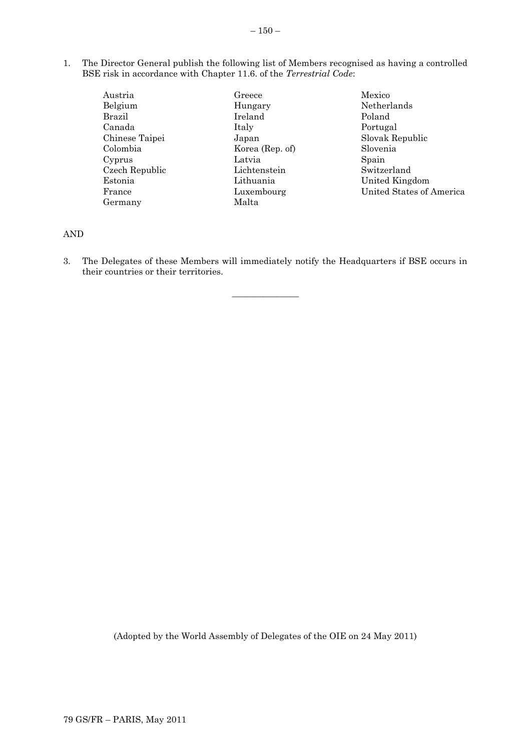1. The Director General publish the following list of Members recognised as having a controlled BSE risk in accordance with Chapter 11.6. of the *Terrestrial Code*:

| Austria        | Greece      |
|----------------|-------------|
| Belgium        | Hungary     |
| Brazil         | Ireland     |
| Canada         | Italy       |
| Chinese Taipei | Japan       |
| Colombia       | Korea (Rep  |
| Cyprus         | Latvia      |
| Czech Republic | Lichtenstei |
| Estonia        | Lithuania   |
| France         | Luxembour   |
| Germany        | Malta       |

 $\cdot$  of)  $n$  $\mathbf{g}$ 

Mexico Netherlands Poland Portugal Slovak Republic Slovenia Spain Switzerland United Kingdom United States of America

## AND

3. The Delegates of these Members will immediately notify the Headquarters if BSE occurs in their countries or their territories.

 $\overline{\phantom{a}}$  , where  $\overline{\phantom{a}}$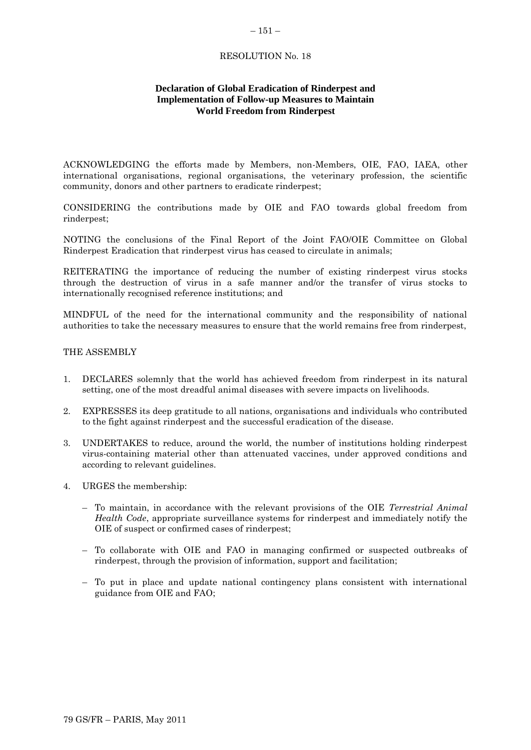## **Declaration of Global Eradication of Rinderpest and Implementation of Follow-up Measures to Maintain World Freedom from Rinderpest**

ACKNOWLEDGING the efforts made by Members, non-Members, OIE, FAO, IAEA, other international organisations, regional organisations, the veterinary profession, the scientific community, donors and other partners to eradicate rinderpest;

CONSIDERING the contributions made by OIE and FAO towards global freedom from rinderpest;

NOTING the conclusions of the Final Report of the Joint FAO/OIE Committee on Global Rinderpest Eradication that rinderpest virus has ceased to circulate in animals;

REITERATING the importance of reducing the number of existing rinderpest virus stocks through the destruction of virus in a safe manner and/or the transfer of virus stocks to internationally recognised reference institutions; and

MINDFUL of the need for the international community and the responsibility of national authorities to take the necessary measures to ensure that the world remains free from rinderpest,

#### THE ASSEMBLY

- 1. DECLARES solemnly that the world has achieved freedom from rinderpest in its natural setting, one of the most dreadful animal diseases with severe impacts on livelihoods.
- 2. EXPRESSES its deep gratitude to all nations, organisations and individuals who contributed to the fight against rinderpest and the successful eradication of the disease.
- 3. UNDERTAKES to reduce, around the world, the number of institutions holding rinderpest virus-containing material other than attenuated vaccines, under approved conditions and according to relevant guidelines.
- 4. URGES the membership:
	- To maintain, in accordance with the relevant provisions of the OIE *Terrestrial Animal Health Code*, appropriate surveillance systems for rinderpest and immediately notify the OIE of suspect or confirmed cases of rinderpest;
	- To collaborate with OIE and FAO in managing confirmed or suspected outbreaks of rinderpest, through the provision of information, support and facilitation;
	- To put in place and update national contingency plans consistent with international guidance from OIE and FAO;

#### $-151-$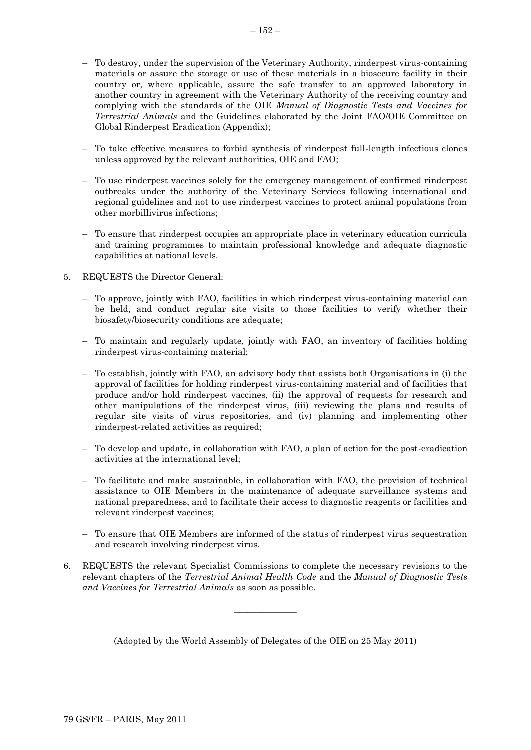- To destroy, under the supervision of the Veterinary Authority, rinderpest virus-containing materials or assure the storage or use of these materials in a biosecure facility in their country or, where applicable, assure the safe transfer to an approved laboratory in another country in agreement with the Veterinary Authority of the receiving country and complying with the standards of the OIE *Manual of Diagnostic Tests and Vaccines for Terrestrial Animals* and the Guidelines elaborated by the Joint FAO/OIE Committee on Global Rinderpest Eradication (Appendix);
- To take effective measures to forbid synthesis of rinderpest full-length infectious clones unless approved by the relevant authorities, OIE and FAO;
- To use rinderpest vaccines solely for the emergency management of confirmed rinderpest outbreaks under the authority of the Veterinary Services following international and regional guidelines and not to use rinderpest vaccines to protect animal populations from other morbillivirus infections;
- To ensure that rinderpest occupies an appropriate place in veterinary education curricula and training programmes to maintain professional knowledge and adequate diagnostic capabilities at national levels.
- 5. REQUESTS the Director General:
	- To approve, jointly with FAO, facilities in which rinderpest virus-containing material can be held, and conduct regular site visits to those facilities to verify whether their biosafety/biosecurity conditions are adequate;
	- To maintain and regularly update, jointly with FAO, an inventory of facilities holding rinderpest virus-containing material;
	- To establish, jointly with FAO, an advisory body that assists both Organisations in (i) the approval of facilities for holding rinderpest virus-containing material and of facilities that produce and/or hold rinderpest vaccines, (ii) the approval of requests for research and other manipulations of the rinderpest virus, (iii) reviewing the plans and results of regular site visits of virus repositories, and (iv) planning and implementing other rinderpest-related activities as required;
	- To develop and update, in collaboration with FAO, a plan of action for the post-eradication activities at the international level;
	- To facilitate and make sustainable, in collaboration with FAO, the provision of technical assistance to OIE Members in the maintenance of adequate surveillance systems and national preparedness, and to facilitate their access to diagnostic reagents or facilities and relevant rinderpest vaccines;
	- To ensure that OIE Members are informed of the status of rinderpest virus sequestration and research involving rinderpest virus.
- 6. REQUESTS the relevant Specialist Commissions to complete the necessary revisions to the relevant chapters of the *Terrestrial Animal Health Code* and the *Manual of Diagnostic Tests and Vaccines for Terrestrial Animals* as soon as possible.

(Adopted by the World Assembly of Delegates of the OIE on 25 May 2011)

 $\overline{\phantom{a}}$  , where  $\overline{\phantom{a}}$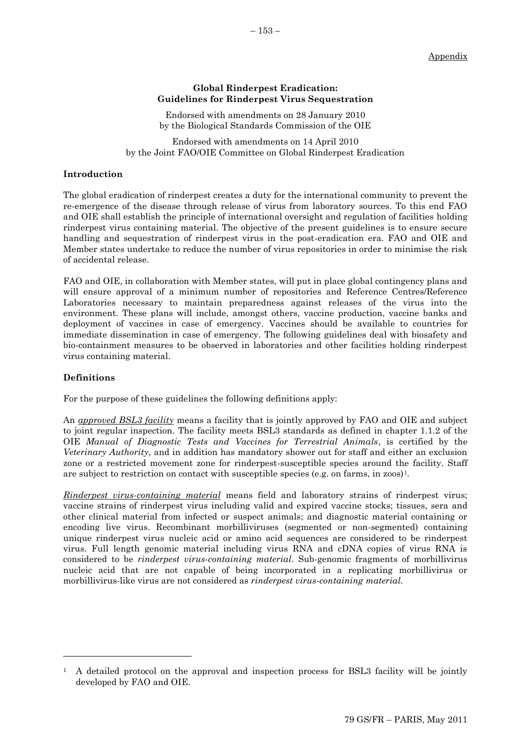## **Global Rinderpest Eradication: Guidelines for Rinderpest Virus Sequestration**

Endorsed with amendments on 28 January 2010 by the Biological Standards Commission of the OIE

Endorsed with amendments on 14 April 2010 by the Joint FAO/OIE Committee on Global Rinderpest Eradication

#### **Introduction**

The global eradication of rinderpest creates a duty for the international community to prevent the re-emergence of the disease through release of virus from laboratory sources. To this end FAO and OIE shall establish the principle of international oversight and regulation of facilities holding rinderpest virus containing material. The objective of the present guidelines is to ensure secure handling and sequestration of rinderpest virus in the post-eradication era. FAO and OIE and Member states undertake to reduce the number of virus repositories in order to minimise the risk of accidental release.

FAO and OIE, in collaboration with Member states, will put in place global contingency plans and will ensure approval of a minimum number of repositories and Reference Centres/Reference Laboratories necessary to maintain preparedness against releases of the virus into the environment. These plans will include, amongst others, vaccine production, vaccine banks and deployment of vaccines in case of emergency. Vaccines should be available to countries for immediate dissemination in case of emergency. The following guidelines deal with biosafety and bio-containment measures to be observed in laboratories and other facilities holding rinderpest virus containing material.

#### **Definitions**

l

For the purpose of these guidelines the following definitions apply:

An *approved BSL3 facility* means a facility that is jointly approved by FAO and OIE and subject to joint regular inspection. The facility meets BSL3 standards as defined in chapter 1.1.2 of the OIE *Manual of Diagnostic Tests and Vaccines for Terrestrial Animals*, is certified by the *Veterinary Authority*, and in addition has mandatory shower out for staff and either an exclusion zone or a restricted movement zone for rinderpest-susceptible species around the facility. Staff are subject to restriction on contact with susceptible species (e.g. on farms, in zoos)1*.*

*Rinderpest virus-containing material* means field and laboratory strains of rinderpest virus; vaccine strains of rinderpest virus including valid and expired vaccine stocks; tissues, sera and other clinical material from infected or suspect animals; and diagnostic material containing or encoding live virus. Recombinant morbilliviruses (segmented or non-segmented) containing unique rinderpest virus nucleic acid or amino acid sequences are considered to be rinderpest virus. Full length genomic material including virus RNA and cDNA copies of virus RNA is considered to be *rinderpest virus-containing material*. Sub-genomic fragments of morbillivirus nucleic acid that are not capable of being incorporated in a replicating morbillivirus or morbillivirus-like virus are not considered as *rinderpest virus-containing material.*

<sup>1</sup> A detailed protocol on the approval and inspection process for BSL3 facility will be jointly developed by FAO and OIE.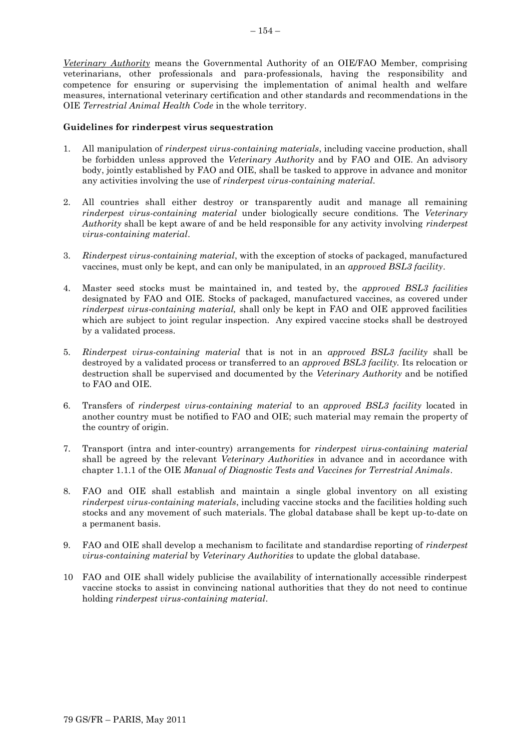*Veterinary Authority* means the Governmental Authority of an OIE/FAO Member, comprising veterinarians, other professionals and para-professionals, having the responsibility and competence for ensuring or supervising the implementation of animal health and welfare measures, international veterinary certification and other standards and recommendations in the OIE *Terrestrial Animal Health Code* in the whole territory.

#### **Guidelines for rinderpest virus sequestration**

- 1. All manipulation of *rinderpest virus-containing materials*, including vaccine production, shall be forbidden unless approved the *Veterinary Authority* and by FAO and OIE. An advisory body, jointly established by FAO and OIE, shall be tasked to approve in advance and monitor any activities involving the use of *rinderpest virus-containing material*.
- 2. All countries shall either destroy or transparently audit and manage all remaining *rinderpest virus-containing material* under biologically secure conditions. The *Veterinary Authority* shall be kept aware of and be held responsible for any activity involving *rinderpest virus-containing material*.
- 3. *Rinderpest virus-containing material*, with the exception of stocks of packaged, manufactured vaccines, must only be kept, and can only be manipulated, in an *approved BSL3 facility*.
- 4. Master seed stocks must be maintained in, and tested by, the *approved BSL3 facilities* designated by FAO and OIE*.* Stocks of packaged, manufactured vaccines, as covered under *rinderpest virus-containing material,* shall only be kept in FAO and OIE approved facilities which are subject to joint regular inspection. Any expired vaccine stocks shall be destroyed by a validated process.
- 5. *Rinderpest virus-containing material* that is not in an *approved BSL3 facility* shall be destroyed by a validated process or transferred to an *approved BSL3 facility.* Its relocation or destruction shall be supervised and documented by the *Veterinary Authority* and be notified to FAO and OIE.
- 6. Transfers of *rinderpest virus-containing material* to an *approved BSL3 facility* located in another country must be notified to FAO and OIE; such material may remain the property of the country of origin.
- 7. Transport (intra and inter-country) arrangements for *rinderpest virus-containing material* shall be agreed by the relevant *Veterinary Authorities* in advance and in accordance with chapter 1.1.1 of the OIE *Manual of Diagnostic Tests and Vaccines for Terrestrial Animals*.
- 8. FAO and OIE shall establish and maintain a single global inventory on all existing *rinderpest virus-containing materials*, including vaccine stocks and the facilities holding such stocks and any movement of such materials. The global database shall be kept up-to-date on a permanent basis.
- 9. FAO and OIE shall develop a mechanism to facilitate and standardise reporting of *rinderpest virus-containing material* by *Veterinary Authorities* to update the global database.
- 10 FAO and OIE shall widely publicise the availability of internationally accessible rinderpest vaccine stocks to assist in convincing national authorities that they do not need to continue holding *rinderpest virus-containing material*.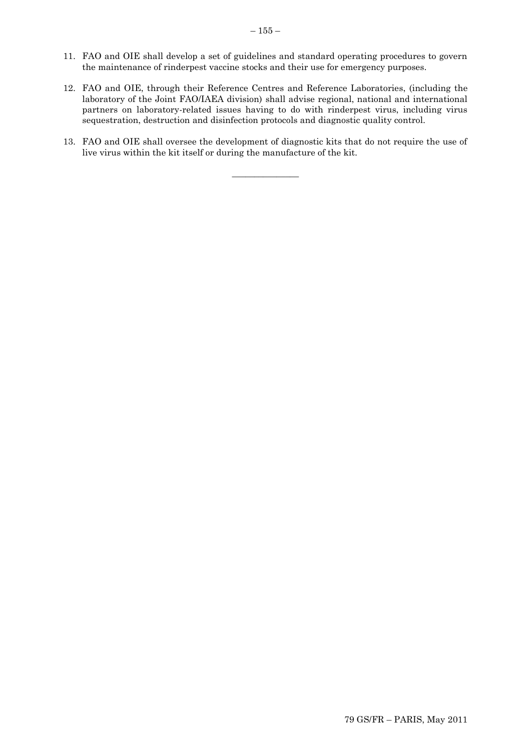- 11. FAO and OIE shall develop a set of guidelines and standard operating procedures to govern the maintenance of rinderpest vaccine stocks and their use for emergency purposes.
- 12. FAO and OIE, through their Reference Centres and Reference Laboratories, (including the laboratory of the Joint FAO/IAEA division) shall advise regional, national and international partners on laboratory-related issues having to do with rinderpest virus, including virus sequestration, destruction and disinfection protocols and diagnostic quality control.
- 13. FAO and OIE shall oversee the development of diagnostic kits that do not require the use of live virus within the kit itself or during the manufacture of the kit.

\_\_\_\_\_\_\_\_\_\_\_\_\_\_\_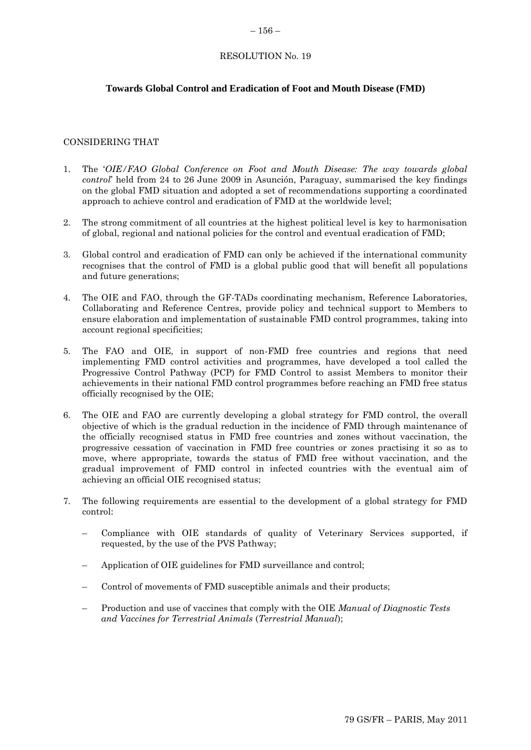## **Towards Global Control and Eradication of Foot and Mouth Disease (FMD)**

#### CONSIDERING THAT

- 1. The "*OIE/FAO Global Conference on Foot and Mouth Disease: The way towards global control*" held from 24 to 26 June 2009 in Asunción, Paraguay, summarised the key findings on the global FMD situation and adopted a set of recommendations supporting a coordinated approach to achieve control and eradication of FMD at the worldwide level;
- 2. The strong commitment of all countries at the highest political level is key to harmonisation of global, regional and national policies for the control and eventual eradication of FMD;
- 3. Global control and eradication of FMD can only be achieved if the international community recognises that the control of FMD is a global public good that will benefit all populations and future generations;
- 4. The OIE and FAO, through the GF-TADs coordinating mechanism, Reference Laboratories, Collaborating and Reference Centres, provide policy and technical support to Members to ensure elaboration and implementation of sustainable FMD control programmes, taking into account regional specificities;
- 5. The FAO and OIE, in support of non-FMD free countries and regions that need implementing FMD control activities and programmes, have developed a tool called the Progressive Control Pathway (PCP) for FMD Control to assist Members to monitor their achievements in their national FMD control programmes before reaching an FMD free status officially recognised by the OIE;
- 6. The OIE and FAO are currently developing a global strategy for FMD control, the overall objective of which is the gradual reduction in the incidence of FMD through maintenance of the officially recognised status in FMD free countries and zones without vaccination, the progressive cessation of vaccination in FMD free countries or zones practising it so as to move, where appropriate, towards the status of FMD free without vaccination, and the gradual improvement of FMD control in infected countries with the eventual aim of achieving an official OIE recognised status;
- 7. The following requirements are essential to the development of a global strategy for FMD control:
	- Compliance with OIE standards of quality of Veterinary Services supported, if requested, by the use of the PVS Pathway;
	- Application of OIE guidelines for FMD surveillance and control;
	- Control of movements of FMD susceptible animals and their products;
	- Production and use of vaccines that comply with the OIE *Manual of Diagnostic Tests and Vaccines for Terrestrial Animals* (*Terrestrial Manual*);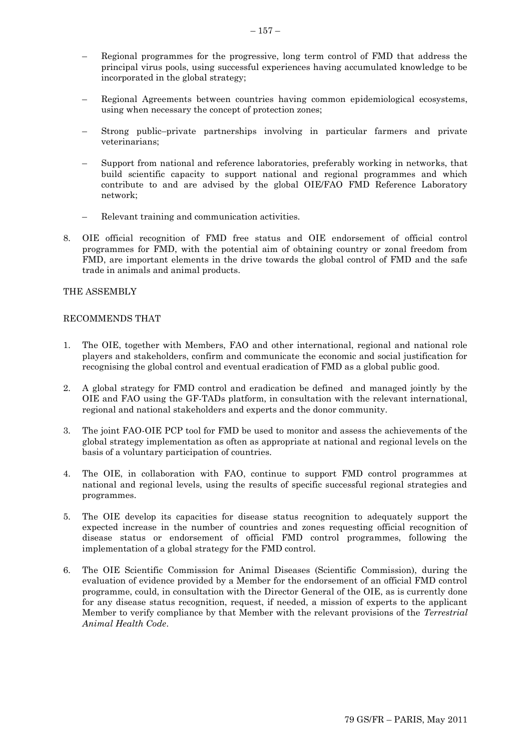- Regional programmes for the progressive, long term control of FMD that address the principal virus pools, using successful experiences having accumulated knowledge to be incorporated in the global strategy;
- Regional Agreements between countries having common epidemiological ecosystems, using when necessary the concept of protection zones;
- Strong public–private partnerships involving in particular farmers and private veterinarians;
- Support from national and reference laboratories, preferably working in networks, that build scientific capacity to support national and regional programmes and which contribute to and are advised by the global OIE/FAO FMD Reference Laboratory network;
- Relevant training and communication activities.
- 8. OIE official recognition of FMD free status and OIE endorsement of official control programmes for FMD, with the potential aim of obtaining country or zonal freedom from FMD, are important elements in the drive towards the global control of FMD and the safe trade in animals and animal products.

#### THE ASSEMBLY

#### RECOMMENDS THAT

- 1. The OIE, together with Members, FAO and other international, regional and national role players and stakeholders, confirm and communicate the economic and social justification for recognising the global control and eventual eradication of FMD as a global public good.
- 2. A global strategy for FMD control and eradication be defined and managed jointly by the OIE and FAO using the GF-TADs platform, in consultation with the relevant international, regional and national stakeholders and experts and the donor community.
- 3. The joint FAO-OIE PCP tool for FMD be used to monitor and assess the achievements of the global strategy implementation as often as appropriate at national and regional levels on the basis of a voluntary participation of countries.
- 4. The OIE, in collaboration with FAO, continue to support FMD control programmes at national and regional levels, using the results of specific successful regional strategies and programmes.
- 5. The OIE develop its capacities for disease status recognition to adequately support the expected increase in the number of countries and zones requesting official recognition of disease status or endorsement of official FMD control programmes, following the implementation of a global strategy for the FMD control.
- 6. The OIE Scientific Commission for Animal Diseases (Scientific Commission), during the evaluation of evidence provided by a Member for the endorsement of an official FMD control programme, could, in consultation with the Director General of the OIE, as is currently done for any disease status recognition, request, if needed, a mission of experts to the applicant Member to verify compliance by that Member with the relevant provisions of the *Terrestrial Animal Health Code*.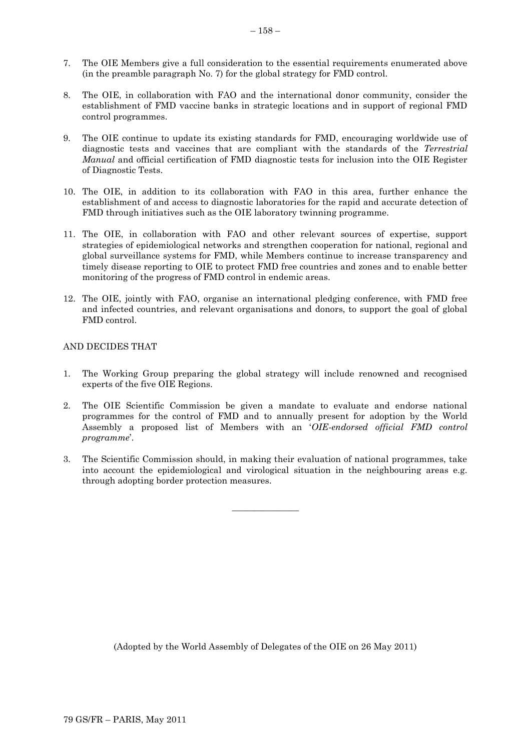- 7. The OIE Members give a full consideration to the essential requirements enumerated above (in the preamble paragraph No. 7) for the global strategy for FMD control.
- 8. The OIE, in collaboration with FAO and the international donor community, consider the establishment of FMD vaccine banks in strategic locations and in support of regional FMD control programmes.
- 9. The OIE continue to update its existing standards for FMD, encouraging worldwide use of diagnostic tests and vaccines that are compliant with the standards of the *Terrestrial Manual* and official certification of FMD diagnostic tests for inclusion into the OIE Register of Diagnostic Tests.
- 10. The OIE, in addition to its collaboration with FAO in this area, further enhance the establishment of and access to diagnostic laboratories for the rapid and accurate detection of FMD through initiatives such as the OIE laboratory twinning programme.
- 11. The OIE, in collaboration with FAO and other relevant sources of expertise, support strategies of epidemiological networks and strengthen cooperation for national, regional and global surveillance systems for FMD, while Members continue to increase transparency and timely disease reporting to OIE to protect FMD free countries and zones and to enable better monitoring of the progress of FMD control in endemic areas.
- 12. The OIE, jointly with FAO, organise an international pledging conference, with FMD free and infected countries, and relevant organisations and donors, to support the goal of global FMD control.

## AND DECIDES THAT

- 1. The Working Group preparing the global strategy will include renowned and recognised experts of the five OIE Regions.
- 2. The OIE Scientific Commission be given a mandate to evaluate and endorse national programmes for the control of FMD and to annually present for adoption by the World Assembly a proposed list of Members with an "*OIE-endorsed official FMD control programme*".
- 3. The Scientific Commission should, in making their evaluation of national programmes, take into account the epidemiological and virological situation in the neighbouring areas e.g. through adopting border protection measures.

 $\overline{\phantom{a}}$  , where  $\overline{\phantom{a}}$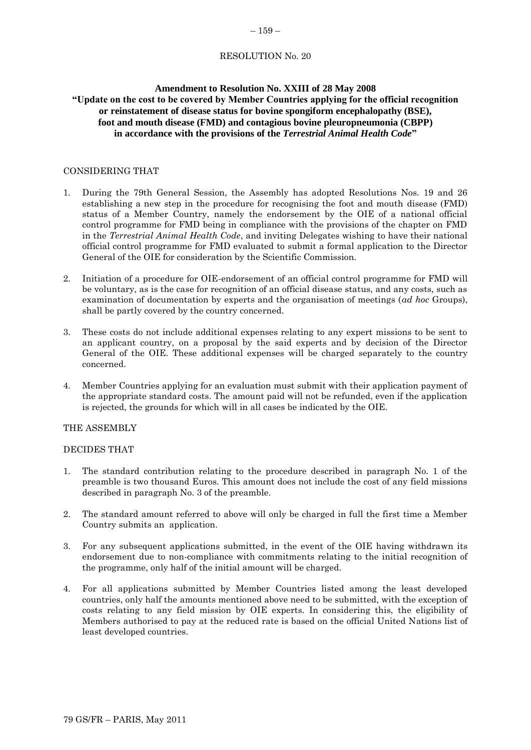#### $-159-$

## RESOLUTION No. 20

#### **Amendment to Resolution No. XXIII of 28 May 2008**

## **"Update on the cost to be covered by Member Countries applying for the official recognition or reinstatement of disease status for bovine spongiform encephalopathy (BSE), foot and mouth disease (FMD) and contagious bovine pleuropneumonia (CBPP) in accordance with the provisions of the** *Terrestrial Animal Health Code***"**

## CONSIDERING THAT

- 1. During the 79th General Session, the Assembly has adopted Resolutions Nos. 19 and 26 establishing a new step in the procedure for recognising the foot and mouth disease (FMD) status of a Member Country, namely the endorsement by the OIE of a national official control programme for FMD being in compliance with the provisions of the chapter on FMD in the *Terrestrial Animal Health Code*, and inviting Delegates wishing to have their national official control programme for FMD evaluated to submit a formal application to the Director General of the OIE for consideration by the Scientific Commission.
- 2. Initiation of a procedure for OIE-endorsement of an official control programme for FMD will be voluntary, as is the case for recognition of an official disease status, and any costs, such as examination of documentation by experts and the organisation of meetings (*ad hoc* Groups), shall be partly covered by the country concerned.
- 3. These costs do not include additional expenses relating to any expert missions to be sent to an applicant country, on a proposal by the said experts and by decision of the Director General of the OIE. These additional expenses will be charged separately to the country concerned.
- 4. Member Countries applying for an evaluation must submit with their application payment of the appropriate standard costs. The amount paid will not be refunded, even if the application is rejected, the grounds for which will in all cases be indicated by the OIE.

#### THE ASSEMBLY

#### DECIDES THAT

- 1. The standard contribution relating to the procedure described in paragraph No. 1 of the preamble is two thousand Euros. This amount does not include the cost of any field missions described in paragraph No. 3 of the preamble.
- 2. The standard amount referred to above will only be charged in full the first time a Member Country submits an application.
- 3. For any subsequent applications submitted, in the event of the OIE having withdrawn its endorsement due to non-compliance with commitments relating to the initial recognition of the programme, only half of the initial amount will be charged.
- 4. For all applications submitted by Member Countries listed among the least developed countries, only half the amounts mentioned above need to be submitted, with the exception of costs relating to any field mission by OIE experts. In considering this, the eligibility of Members authorised to pay at the reduced rate is based on the official United Nations list of least developed countries.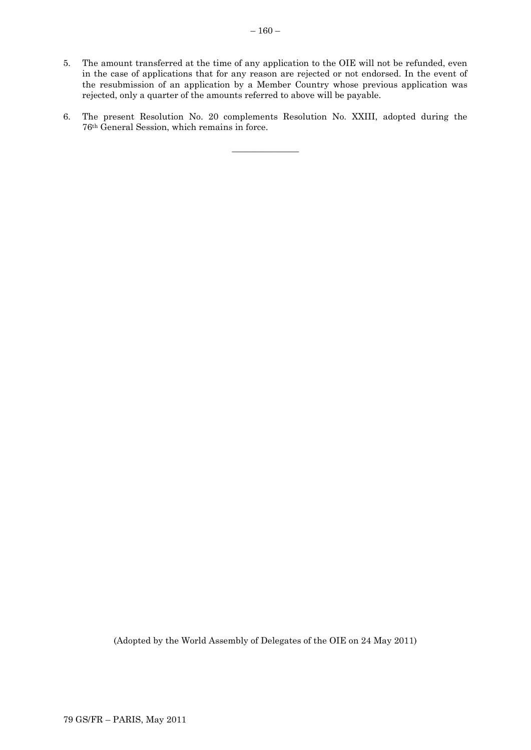- 5. The amount transferred at the time of any application to the OIE will not be refunded, even in the case of applications that for any reason are rejected or not endorsed. In the event of the resubmission of an application by a Member Country whose previous application was rejected, only a quarter of the amounts referred to above will be payable.
- 6. The present Resolution No. 20 complements Resolution No. XXIII, adopted during the 76th General Session, which remains in force.

\_\_\_\_\_\_\_\_\_\_\_\_\_\_\_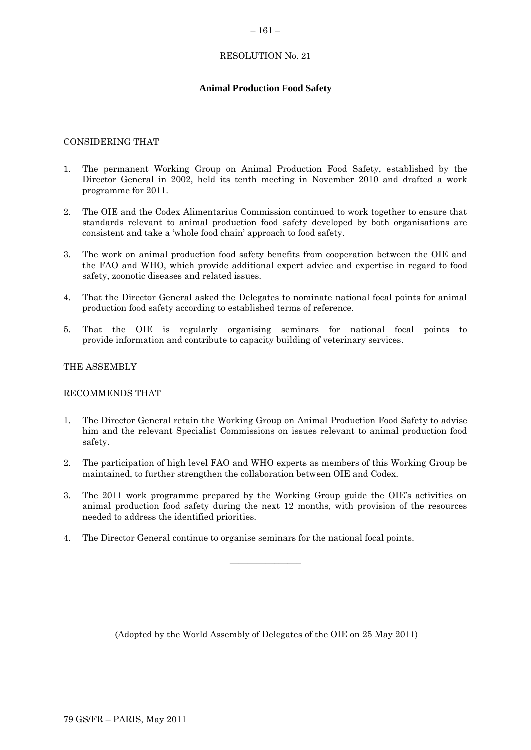#### $-161-$

## RESOLUTION No. 21

## **Animal Production Food Safety**

#### CONSIDERING THAT

- 1. The permanent Working Group on Animal Production Food Safety, established by the Director General in 2002, held its tenth meeting in November 2010 and drafted a work programme for 2011.
- 2. The OIE and the Codex Alimentarius Commission continued to work together to ensure that standards relevant to animal production food safety developed by both organisations are consistent and take a "whole food chain" approach to food safety.
- 3. The work on animal production food safety benefits from cooperation between the OIE and the FAO and WHO, which provide additional expert advice and expertise in regard to food safety, zoonotic diseases and related issues.
- 4. That the Director General asked the Delegates to nominate national focal points for animal production food safety according to established terms of reference.
- 5. That the OIE is regularly organising seminars for national focal points to provide information and contribute to capacity building of veterinary services.

## THE ASSEMBLY

#### RECOMMENDS THAT

- 1. The Director General retain the Working Group on Animal Production Food Safety to advise him and the relevant Specialist Commissions on issues relevant to animal production food safety.
- 2. The participation of high level FAO and WHO experts as members of this Working Group be maintained, to further strengthen the collaboration between OIE and Codex.
- 3. The 2011 work programme prepared by the Working Group guide the OIE"s activities on animal production food safety during the next 12 months, with provision of the resources needed to address the identified priorities.

 $\overline{\phantom{a}}$  , where  $\overline{\phantom{a}}$ 

4. The Director General continue to organise seminars for the national focal points.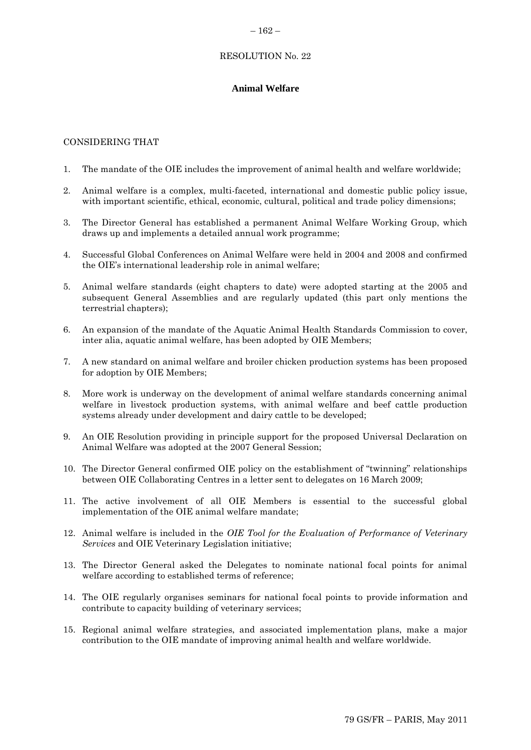#### $-162-$

## RESOLUTION No. 22

## **Animal Welfare**

## CONSIDERING THAT

- 1. The mandate of the OIE includes the improvement of animal health and welfare worldwide;
- 2. Animal welfare is a complex, multi-faceted, international and domestic public policy issue, with important scientific, ethical, economic, cultural, political and trade policy dimensions;
- 3. The Director General has established a permanent Animal Welfare Working Group, which draws up and implements a detailed annual work programme;
- 4. Successful Global Conferences on Animal Welfare were held in 2004 and 2008 and confirmed the OIE"s international leadership role in animal welfare;
- 5. Animal welfare standards (eight chapters to date) were adopted starting at the 2005 and subsequent General Assemblies and are regularly updated (this part only mentions the terrestrial chapters);
- 6. An expansion of the mandate of the Aquatic Animal Health Standards Commission to cover, inter alia, aquatic animal welfare, has been adopted by OIE Members;
- 7. A new standard on animal welfare and broiler chicken production systems has been proposed for adoption by OIE Members;
- 8. More work is underway on the development of animal welfare standards concerning animal welfare in livestock production systems, with animal welfare and beef cattle production systems already under development and dairy cattle to be developed;
- 9. An OIE Resolution providing in principle support for the proposed Universal Declaration on Animal Welfare was adopted at the 2007 General Session;
- 10. The Director General confirmed OIE policy on the establishment of "twinning" relationships between OIE Collaborating Centres in a letter sent to delegates on 16 March 2009;
- 11. The active involvement of all OIE Members is essential to the successful global implementation of the OIE animal welfare mandate;
- 12. Animal welfare is included in the *OIE Tool for the Evaluation of Performance of Veterinary Services* and OIE Veterinary Legislation initiative;
- 13. The Director General asked the Delegates to nominate national focal points for animal welfare according to established terms of reference;
- 14. The OIE regularly organises seminars for national focal points to provide information and contribute to capacity building of veterinary services;
- 15. Regional animal welfare strategies, and associated implementation plans, make a major contribution to the OIE mandate of improving animal health and welfare worldwide.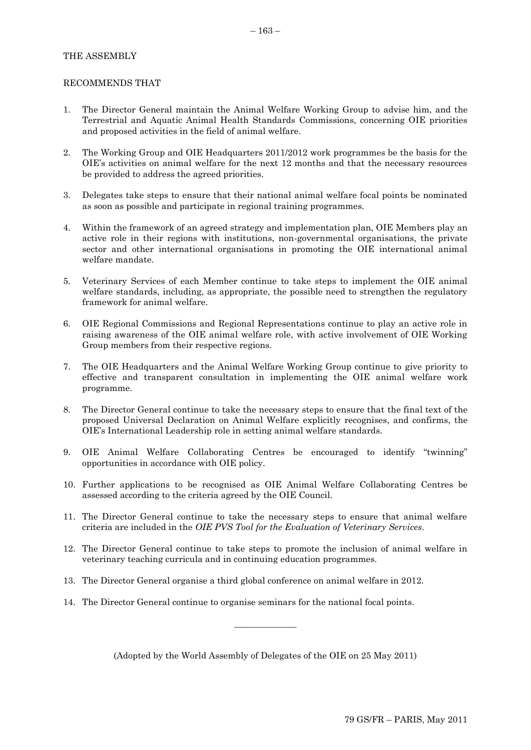## THE ASSEMBLY

#### RECOMMENDS THAT

- 1. The Director General maintain the Animal Welfare Working Group to advise him, and the Terrestrial and Aquatic Animal Health Standards Commissions, concerning OIE priorities and proposed activities in the field of animal welfare.
- 2. The Working Group and OIE Headquarters 2011/2012 work programmes be the basis for the OIE"s activities on animal welfare for the next 12 months and that the necessary resources be provided to address the agreed priorities.
- 3. Delegates take steps to ensure that their national animal welfare focal points be nominated as soon as possible and participate in regional training programmes.
- 4. Within the framework of an agreed strategy and implementation plan, OIE Members play an active role in their regions with institutions, non-governmental organisations, the private sector and other international organisations in promoting the OIE international animal welfare mandate.
- 5. Veterinary Services of each Member continue to take steps to implement the OIE animal welfare standards, including, as appropriate, the possible need to strengthen the regulatory framework for animal welfare.
- 6. OIE Regional Commissions and Regional Representations continue to play an active role in raising awareness of the OIE animal welfare role, with active involvement of OIE Working Group members from their respective regions.
- 7. The OIE Headquarters and the Animal Welfare Working Group continue to give priority to effective and transparent consultation in implementing the OIE animal welfare work programme.
- 8. The Director General continue to take the necessary steps to ensure that the final text of the proposed Universal Declaration on Animal Welfare explicitly recognises, and confirms, the OIE"s International Leadership role in setting animal welfare standards.
- 9. OIE Animal Welfare Collaborating Centres be encouraged to identify "twinning" opportunities in accordance with OIE policy.
- 10. Further applications to be recognised as OIE Animal Welfare Collaborating Centres be assessed according to the criteria agreed by the OIE Council.
- 11. The Director General continue to take the necessary steps to ensure that animal welfare criteria are included in the *OIE PVS Tool for the Evaluation of Veterinary Services*.
- 12. The Director General continue to take steps to promote the inclusion of animal welfare in veterinary teaching curricula and in continuing education programmes.
- 13. The Director General organise a third global conference on animal welfare in 2012.
- 14. The Director General continue to organise seminars for the national focal points.

(Adopted by the World Assembly of Delegates of the OIE on 25 May 2011)

 $\frac{1}{2}$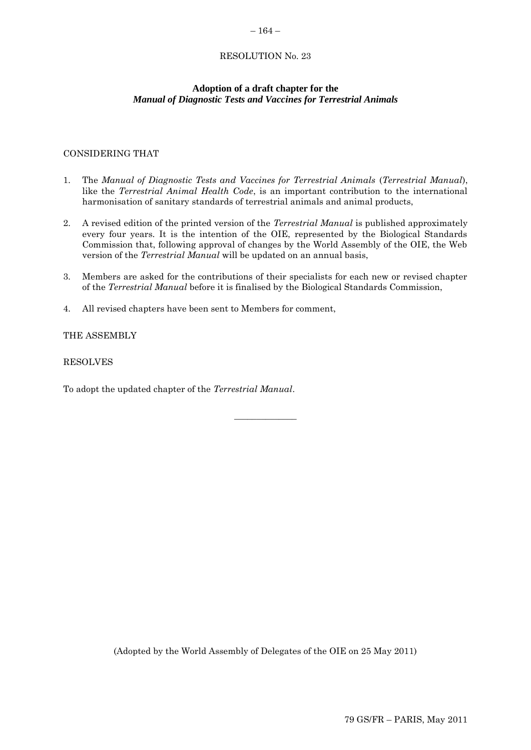#### $-164-$

## RESOLUTION No. 23

## **Adoption of a draft chapter for the**  *Manual of Diagnostic Tests and Vaccines for Terrestrial Animals*

## CONSIDERING THAT

- 1. The *Manual of Diagnostic Tests and Vaccines for Terrestrial Animals* (*Terrestrial Manual*), like the *Terrestrial Animal Health Code*, is an important contribution to the international harmonisation of sanitary standards of terrestrial animals and animal products,
- 2. A revised edition of the printed version of the *Terrestrial Manual* is published approximately every four years. It is the intention of the OIE, represented by the Biological Standards Commission that, following approval of changes by the World Assembly of the OIE, the Web version of the *Terrestrial Manual* will be updated on an annual basis,
- 3. Members are asked for the contributions of their specialists for each new or revised chapter of the *Terrestrial Manual* before it is finalised by the Biological Standards Commission,

 $\overline{\phantom{a}}$  , where  $\overline{\phantom{a}}$ 

4. All revised chapters have been sent to Members for comment,

## THE ASSEMBLY

#### RESOLVES

To adopt the updated chapter of the *Terrestrial Manual*.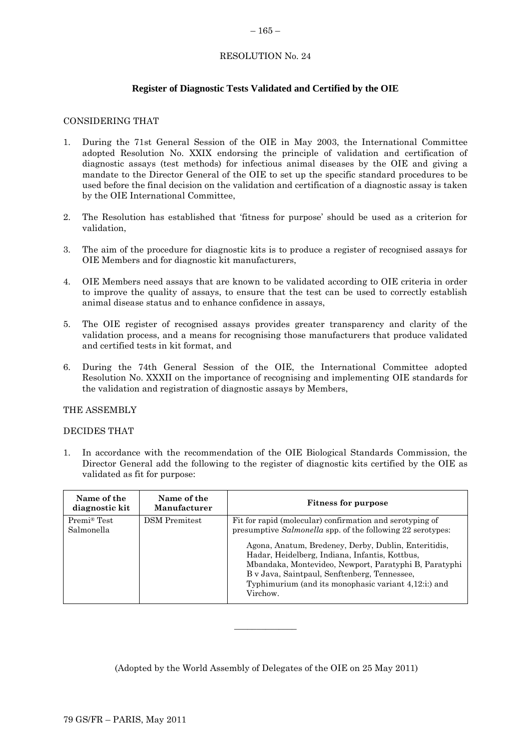## $-165-$

## RESOLUTION No. 24

## **Register of Diagnostic Tests Validated and Certified by the OIE**

#### CONSIDERING THAT

- 1. During the 71st General Session of the OIE in May 2003, the International Committee adopted Resolution No. XXIX endorsing the principle of validation and certification of diagnostic assays (test methods) for infectious animal diseases by the OIE and giving a mandate to the Director General of the OIE to set up the specific standard procedures to be used before the final decision on the validation and certification of a diagnostic assay is taken by the OIE International Committee,
- 2. The Resolution has established that "fitness for purpose" should be used as a criterion for validation,
- 3. The aim of the procedure for diagnostic kits is to produce a register of recognised assays for OIE Members and for diagnostic kit manufacturers,
- 4. OIE Members need assays that are known to be validated according to OIE criteria in order to improve the quality of assays, to ensure that the test can be used to correctly establish animal disease status and to enhance confidence in assays,
- 5. The OIE register of recognised assays provides greater transparency and clarity of the validation process, and a means for recognising those manufacturers that produce validated and certified tests in kit format, and
- 6. During the 74th General Session of the OIE, the International Committee adopted Resolution No. XXXII on the importance of recognising and implementing OIE standards for the validation and registration of diagnostic assays by Members,

#### THE ASSEMBLY

#### DECIDES THAT

1. In accordance with the recommendation of the OIE Biological Standards Commission, the Director General add the following to the register of diagnostic kits certified by the OIE as validated as fit for purpose:

| Name of the<br>diagnostic kit | Name of the<br>Manufacturer | <b>Fitness for purpose</b>                                                                                                                                                                                                                                                                                                                                                                                    |
|-------------------------------|-----------------------------|---------------------------------------------------------------------------------------------------------------------------------------------------------------------------------------------------------------------------------------------------------------------------------------------------------------------------------------------------------------------------------------------------------------|
| Premi® Test<br>Salmonella     | <b>DSM</b> Premitest        | Fit for rapid (molecular) confirmation and serotyping of<br>presumptive Salmonella spp. of the following 22 serotypes:<br>Agona, Anatum, Bredeney, Derby, Dublin, Enteritidis,<br>Hadar, Heidelberg, Indiana, Infantis, Kottbus,<br>Mbandaka, Montevideo, Newport, Paratyphi B, Paratyphi<br>B v Java, Saintpaul, Senftenberg, Tennessee,<br>Typhimurium (and its monophasic variant 4,12:i:) and<br>Virchow. |

(Adopted by the World Assembly of Delegates of the OIE on 25 May 2011)

 $\overline{\phantom{a}}$  , where  $\overline{\phantom{a}}$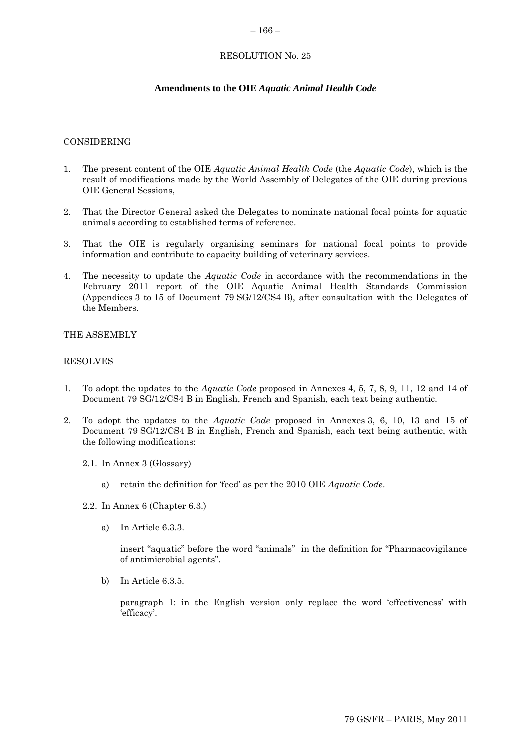#### $-166-$

## RESOLUTION No. 25

## **Amendments to the OIE** *Aquatic Animal Health Code*

#### CONSIDERING

- 1. The present content of the OIE *Aquatic Animal Health Code* (the *Aquatic Code*), which is the result of modifications made by the World Assembly of Delegates of the OIE during previous OIE General Sessions,
- 2. That the Director General asked the Delegates to nominate national focal points for aquatic animals according to established terms of reference.
- 3. That the OIE is regularly organising seminars for national focal points to provide information and contribute to capacity building of veterinary services.
- 4. The necessity to update the *Aquatic Code* in accordance with the recommendations in the February 2011 report of the OIE Aquatic Animal Health Standards Commission (Appendices 3 to 15 of Document 79 SG/12/CS4 B), after consultation with the Delegates of the Members.

#### THE ASSEMBLY

#### RESOLVES

- 1. To adopt the updates to the *Aquatic Code* proposed in Annexes 4, 5, 7, 8, 9, 11, 12 and 14 of Document 79 SG/12/CS4 B in English, French and Spanish, each text being authentic.
- 2. To adopt the updates to the *Aquatic Code* proposed in Annexes 3, 6, 10, 13 and 15 of Document 79 SG/12/CS4 B in English, French and Spanish, each text being authentic, with the following modifications:
	- 2.1. In Annex 3 (Glossary)
		- a) retain the definition for "feed" as per the 2010 OIE *Aquatic Code*.
	- 2.2. In Annex 6 (Chapter 6.3.)
		- a) In Article 6.3.3.

insert "aquatic" before the word "animals" in the definition for "Pharmacovigilance of antimicrobial agents".

b) In Article 6.3.5.

paragraph 1: in the English version only replace the word 'effectiveness' with 'efficacy'.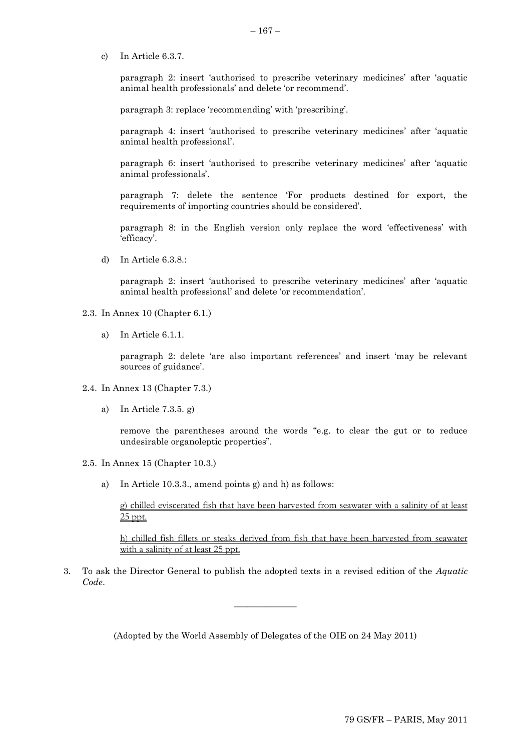c) In Article 6.3.7.

paragraph 2: insert "authorised to prescribe veterinary medicines" after "aquatic animal health professionals' and delete 'or recommend'.

paragraph 3: replace 'recommending' with 'prescribing'.

paragraph 4: insert "authorised to prescribe veterinary medicines" after "aquatic animal health professional".

paragraph 6: insert "authorised to prescribe veterinary medicines" after "aquatic animal professionals'.

paragraph 7: delete the sentence "For products destined for export, the requirements of importing countries should be considered".

paragraph 8: in the English version only replace the word "effectiveness" with 'efficacy'.

d) In Article 6.3.8.:

paragraph 2: insert "authorised to prescribe veterinary medicines" after "aquatic animal health professional' and delete 'or recommendation'.

- 2.3. In Annex 10 (Chapter 6.1.)
	- a) In Article 6.1.1.

paragraph 2: delete "are also important references" and insert "may be relevant sources of guidance'.

- 2.4. In Annex 13 (Chapter 7.3.)
	- a) In Article 7.3.5. g)

remove the parentheses around the words "e.g. to clear the gut or to reduce undesirable organoleptic properties".

- 2.5. In Annex 15 (Chapter 10.3.)
	- a) In Article 10.3.3., amend points g) and h) as follows:

g) chilled eviscerated fish that have been harvested from seawater with a salinity of at least 25 ppt.

h) chilled fish fillets or steaks derived from fish that have been harvested from seawater with a salinity of at least 25 ppt.

3. To ask the Director General to publish the adopted texts in a revised edition of the *Aquatic Code*.

 $\overline{\phantom{a}}$  , where  $\overline{\phantom{a}}$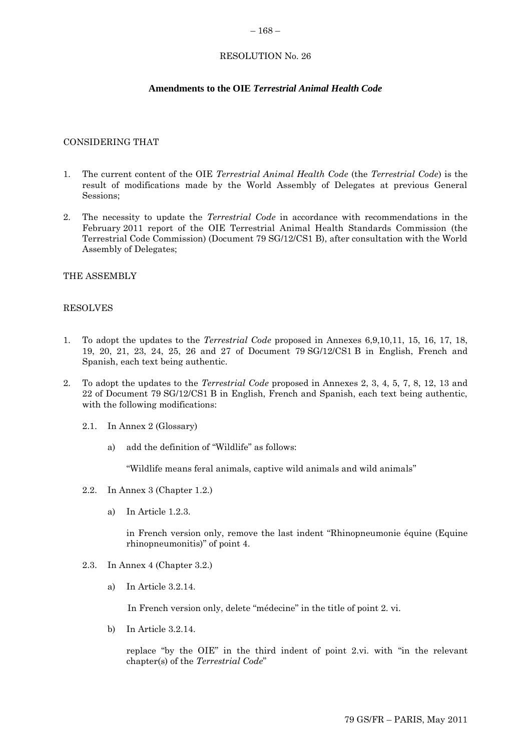#### $-168-$

## RESOLUTION No. 26

## **Amendments to the OIE** *Terrestrial Animal Health Code*

#### CONSIDERING THAT

- 1. The current content of the OIE *Terrestrial Animal Health Code* (the *Terrestrial Code*) is the result of modifications made by the World Assembly of Delegates at previous General Sessions;
- 2. The necessity to update the *Terrestrial Code* in accordance with recommendations in the February 2011 report of the OIE Terrestrial Animal Health Standards Commission (the Terrestrial Code Commission) (Document 79 SG/12/CS1 B), after consultation with the World Assembly of Delegates;

#### THE ASSEMBLY

## RESOLVES

- 1. To adopt the updates to the *Terrestrial Code* proposed in Annexes 6,9,10,11, 15, 16, 17, 18, 19, 20, 21, 23, 24, 25, 26 and 27 of Document 79 SG/12/CS1 B in English, French and Spanish, each text being authentic.
- 2. To adopt the updates to the *Terrestrial Code* proposed in Annexes 2, 3, 4, 5, 7, 8, 12, 13 and 22 of Document 79 SG/12/CS1 B in English, French and Spanish, each text being authentic, with the following modifications:
	- 2.1. In Annex 2 (Glossary)
		- a) add the definition of "Wildlife" as follows:

"Wildlife means feral animals, captive wild animals and wild animals"

- 2.2. In Annex 3 (Chapter 1.2.)
	- a) In Article 1.2.3.

in French version only, remove the last indent "Rhinopneumonie équine (Equine rhinopneumonitis)" of point 4.

- 2.3. In Annex 4 (Chapter 3.2.)
	- a) In Article 3.2.14.

In French version only, delete "médecine" in the title of point 2. vi.

b) In Article 3.2.14.

replace "by the OIE" in the third indent of point 2.vi. with "in the relevant chapter(s) of the *Terrestrial Code*"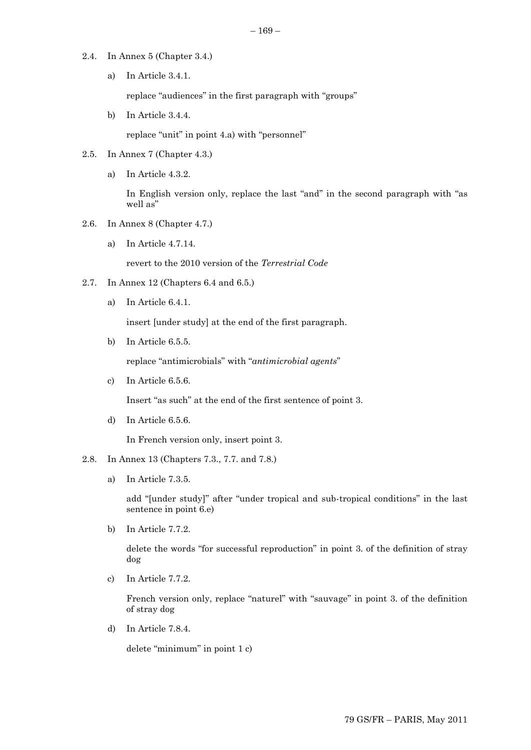- 2.4. In Annex 5 (Chapter 3.4.)
	- a) In Article 3.4.1.

replace "audiences" in the first paragraph with "groups"

b) In Article 3.4.4.

replace "unit" in point 4.a) with "personnel"

- 2.5. In Annex 7 (Chapter 4.3.)
	- a) In Article 4.3.2.

In English version only, replace the last "and" in the second paragraph with "as well as"

- 2.6. In Annex 8 (Chapter 4.7.)
	- a) In Article 4.7.14.

revert to the 2010 version of the *Terrestrial Code*

- 2.7. In Annex 12 (Chapters 6.4 and 6.5.)
	- a) In Article 6.4.1.

insert [under study] at the end of the first paragraph.

b) In Article 6.5.5.

replace "antimicrobials" with "*antimicrobial agents*"

c) In Article 6.5.6.

Insert "as such" at the end of the first sentence of point 3.

d) In Article 6.5.6.

In French version only, insert point 3.

## 2.8. In Annex 13 (Chapters 7.3., 7.7. and 7.8.)

a) In Article 7.3.5.

add "[under study]" after "under tropical and sub-tropical conditions" in the last sentence in point 6.e)

b) In Article 7.7.2.

delete the words "for successful reproduction" in point 3. of the definition of stray dog

c) In Article 7.7.2.

French version only, replace "naturel" with "sauvage" in point 3. of the definition of stray dog

d) In Article 7.8.4.

delete "minimum" in point 1 c)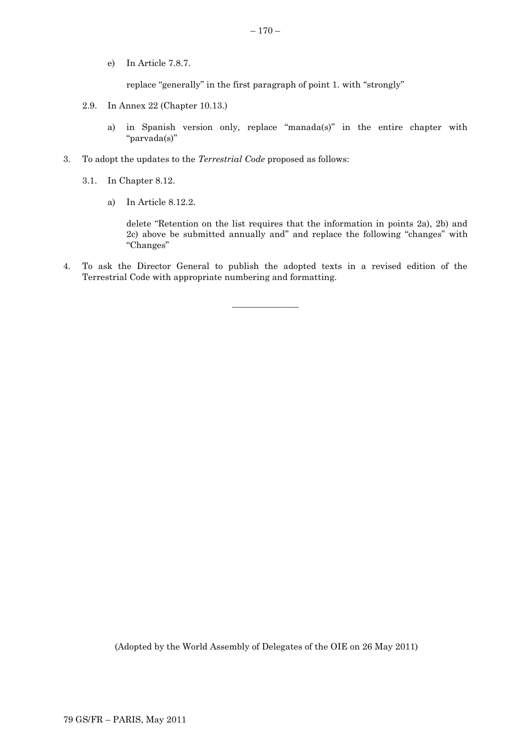e) In Article 7.8.7.

replace "generally" in the first paragraph of point 1. with "strongly"

- 2.9. In Annex 22 (Chapter 10.13.)
	- a) in Spanish version only, replace "manada(s)" in the entire chapter with "parvada(s)"
- 3. To adopt the updates to the *Terrestrial Code* proposed as follows:
	- 3.1. In Chapter 8.12.
		- a) In Article 8.12.2.

delete "Retention on the list requires that the information in points 2a), 2b) and 2c) above be submitted annually and" and replace the following "changes" with "Changes"

4. To ask the Director General to publish the adopted texts in a revised edition of the Terrestrial Code with appropriate numbering and formatting.

 $\overline{\phantom{a}}$  , where  $\overline{\phantom{a}}$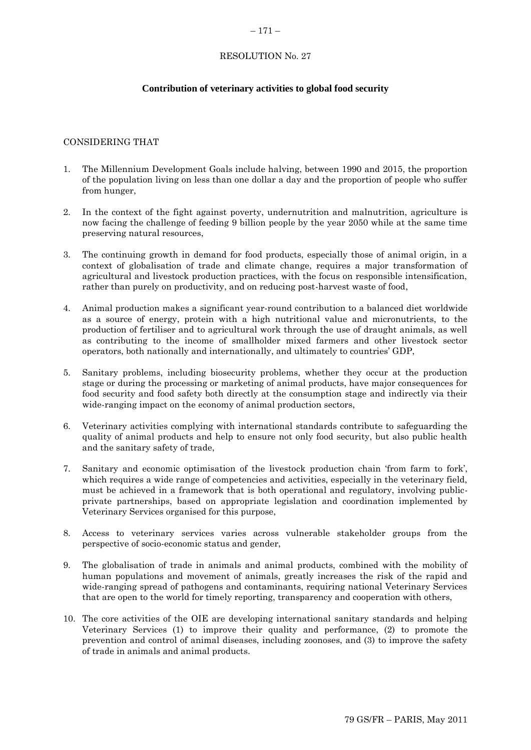#### $-171-$

## RESOLUTION No. 27

## **Contribution of veterinary activities to global food security**

## CONSIDERING THAT

- 1. The Millennium Development Goals include halving, between 1990 and 2015, the proportion of the population living on less than one dollar a day and the proportion of people who suffer from hunger,
- 2. In the context of the fight against poverty, undernutrition and malnutrition, agriculture is now facing the challenge of feeding 9 billion people by the year 2050 while at the same time preserving natural resources,
- 3. The continuing growth in demand for food products, especially those of animal origin, in a context of globalisation of trade and climate change, requires a major transformation of agricultural and livestock production practices, with the focus on responsible intensification, rather than purely on productivity, and on reducing post-harvest waste of food,
- 4. Animal production makes a significant year-round contribution to a balanced diet worldwide as a source of energy, protein with a high nutritional value and micronutrients, to the production of fertiliser and to agricultural work through the use of draught animals, as well as contributing to the income of smallholder mixed farmers and other livestock sector operators, both nationally and internationally, and ultimately to countries" GDP,
- 5. Sanitary problems, including biosecurity problems, whether they occur at the production stage or during the processing or marketing of animal products, have major consequences for food security and food safety both directly at the consumption stage and indirectly via their wide-ranging impact on the economy of animal production sectors,
- 6. Veterinary activities complying with international standards contribute to safeguarding the quality of animal products and help to ensure not only food security, but also public health and the sanitary safety of trade,
- 7. Sanitary and economic optimisation of the livestock production chain "from farm to fork", which requires a wide range of competencies and activities, especially in the veterinary field, must be achieved in a framework that is both operational and regulatory, involving publicprivate partnerships, based on appropriate legislation and coordination implemented by Veterinary Services organised for this purpose,
- 8. Access to veterinary services varies across vulnerable stakeholder groups from the perspective of socio-economic status and gender,
- 9. The globalisation of trade in animals and animal products, combined with the mobility of human populations and movement of animals, greatly increases the risk of the rapid and wide-ranging spread of pathogens and contaminants, requiring national Veterinary Services that are open to the world for timely reporting, transparency and cooperation with others,
- 10. The core activities of the OIE are developing international sanitary standards and helping Veterinary Services (1) to improve their quality and performance, (2) to promote the prevention and control of animal diseases, including zoonoses, and (3) to improve the safety of trade in animals and animal products.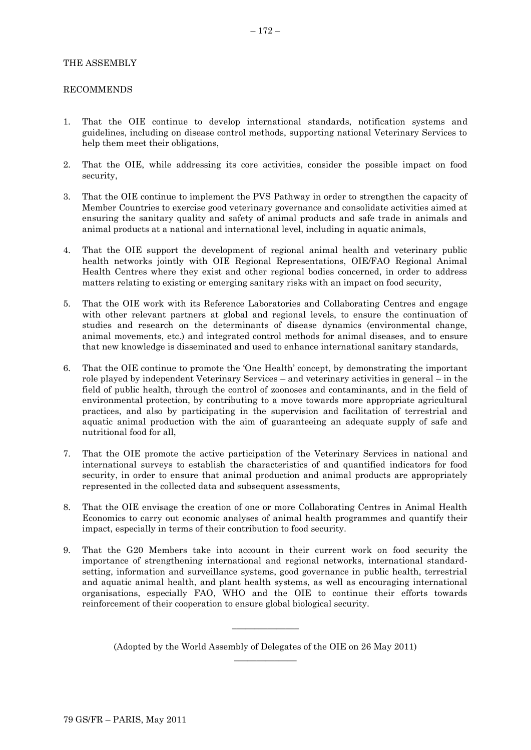## THE ASSEMBLY

#### RECOMMENDS

- 1. That the OIE continue to develop international standards, notification systems and guidelines, including on disease control methods, supporting national Veterinary Services to help them meet their obligations,
- 2. That the OIE, while addressing its core activities, consider the possible impact on food security,
- 3. That the OIE continue to implement the PVS Pathway in order to strengthen the capacity of Member Countries to exercise good veterinary governance and consolidate activities aimed at ensuring the sanitary quality and safety of animal products and safe trade in animals and animal products at a national and international level, including in aquatic animals,
- 4. That the OIE support the development of regional animal health and veterinary public health networks jointly with OIE Regional Representations, OIE/FAO Regional Animal Health Centres where they exist and other regional bodies concerned, in order to address matters relating to existing or emerging sanitary risks with an impact on food security,
- 5. That the OIE work with its Reference Laboratories and Collaborating Centres and engage with other relevant partners at global and regional levels, to ensure the continuation of studies and research on the determinants of disease dynamics (environmental change, animal movements, etc.) and integrated control methods for animal diseases, and to ensure that new knowledge is disseminated and used to enhance international sanitary standards,
- 6. That the OIE continue to promote the "One Health" concept, by demonstrating the important role played by independent Veterinary Services – and veterinary activities in general – in the field of public health, through the control of zoonoses and contaminants, and in the field of environmental protection, by contributing to a move towards more appropriate agricultural practices, and also by participating in the supervision and facilitation of terrestrial and aquatic animal production with the aim of guaranteeing an adequate supply of safe and nutritional food for all,
- 7. That the OIE promote the active participation of the Veterinary Services in national and international surveys to establish the characteristics of and quantified indicators for food security, in order to ensure that animal production and animal products are appropriately represented in the collected data and subsequent assessments,
- 8. That the OIE envisage the creation of one or more Collaborating Centres in Animal Health Economics to carry out economic analyses of animal health programmes and quantify their impact, especially in terms of their contribution to food security.
- 9. That the G20 Members take into account in their current work on food security the importance of strengthening international and regional networks, international standardsetting, information and surveillance systems, good governance in public health, terrestrial and aquatic animal health, and plant health systems, as well as encouraging international organisations, especially FAO, WHO and the OIE to continue their efforts towards reinforcement of their cooperation to ensure global biological security.

 $\overline{\phantom{a}}$  , where  $\overline{\phantom{a}}$ 

<sup>(</sup>Adopted by the World Assembly of Delegates of the OIE on 26 May 2011)  $\overline{\phantom{a}}$  , where  $\overline{\phantom{a}}$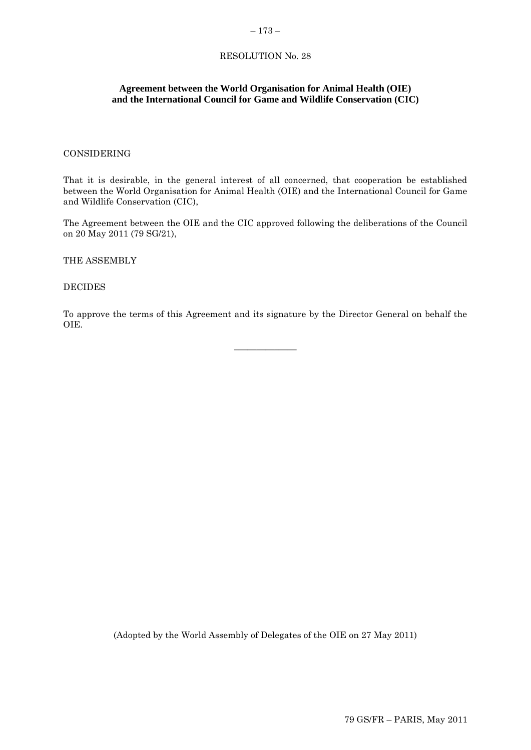## **Agreement between the World Organisation for Animal Health (OIE) and the International Council for Game and Wildlife Conservation (CIC)**

## CONSIDERING

That it is desirable, in the general interest of all concerned, that cooperation be established between the World Organisation for Animal Health (OIE) and the International Council for Game and Wildlife Conservation (CIC),

The Agreement between the OIE and the CIC approved following the deliberations of the Council on 20 May 2011 (79 SG/21),

THE ASSEMBLY

DECIDES

To approve the terms of this Agreement and its signature by the Director General on behalf the OIE.

 $\overline{\phantom{a}}$  , where  $\overline{\phantom{a}}$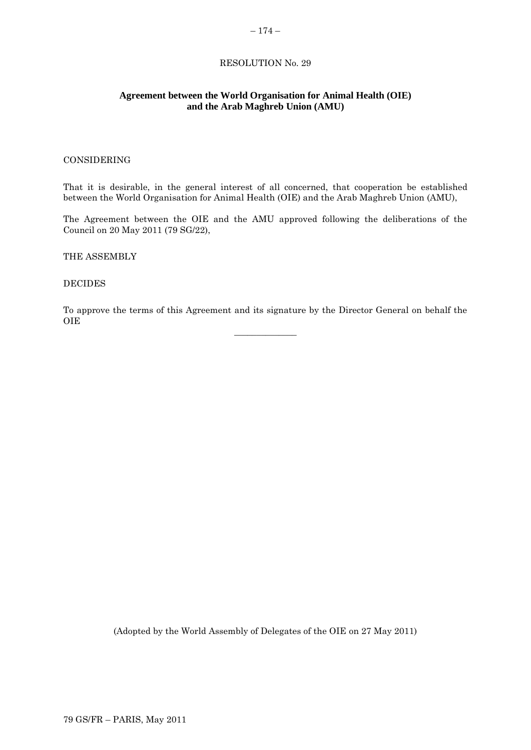## **Agreement between the World Organisation for Animal Health (OIE) and the Arab Maghreb Union (AMU)**

#### CONSIDERING

That it is desirable, in the general interest of all concerned, that cooperation be established between the World Organisation for Animal Health (OIE) and the Arab Maghreb Union (AMU),

The Agreement between the OIE and the AMU approved following the deliberations of the Council on 20 May 2011 (79 SG/22),

THE ASSEMBLY

#### DECIDES

To approve the terms of this Agreement and its signature by the Director General on behalf the OIE  $\overline{\phantom{a}}$  , where  $\overline{\phantom{a}}$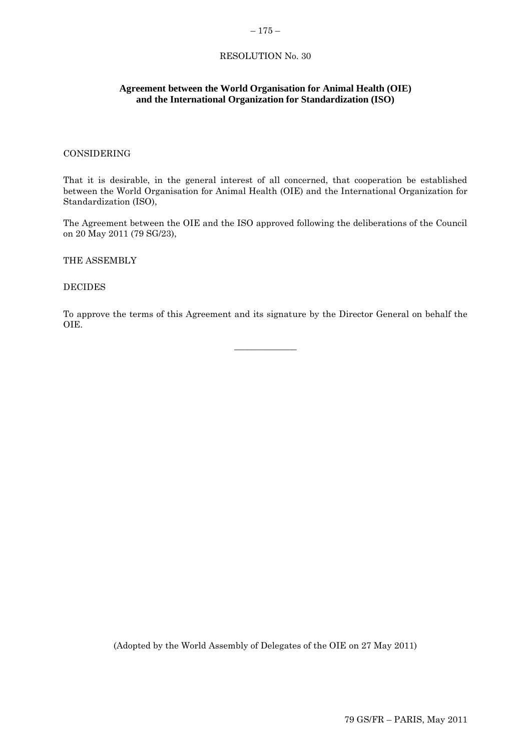#### $-175-$

## RESOLUTION No. 30

## **Agreement between the World Organisation for Animal Health (OIE) and the International Organization for Standardization (ISO)**

## CONSIDERING

That it is desirable, in the general interest of all concerned, that cooperation be established between the World Organisation for Animal Health (OIE) and the International Organization for Standardization (ISO),

The Agreement between the OIE and the ISO approved following the deliberations of the Council on 20 May 2011 (79 SG/23),

THE ASSEMBLY

DECIDES

To approve the terms of this Agreement and its signature by the Director General on behalf the OIE.

 $\overline{\phantom{a}}$  , where  $\overline{\phantom{a}}$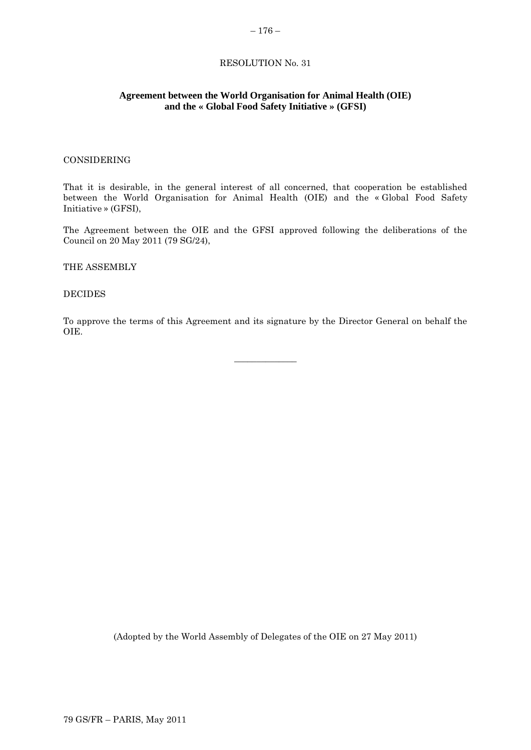## **Agreement between the World Organisation for Animal Health (OIE) and the « Global Food Safety Initiative » (GFSI)**

#### CONSIDERING

That it is desirable, in the general interest of all concerned, that cooperation be established between the World Organisation for Animal Health (OIE) and the « Global Food Safety Initiative » (GFSI),

The Agreement between the OIE and the GFSI approved following the deliberations of the Council on 20 May 2011 (79 SG/24),

THE ASSEMBLY

#### DECIDES

To approve the terms of this Agreement and its signature by the Director General on behalf the OIE.

 $\overline{\phantom{a}}$  , where  $\overline{\phantom{a}}$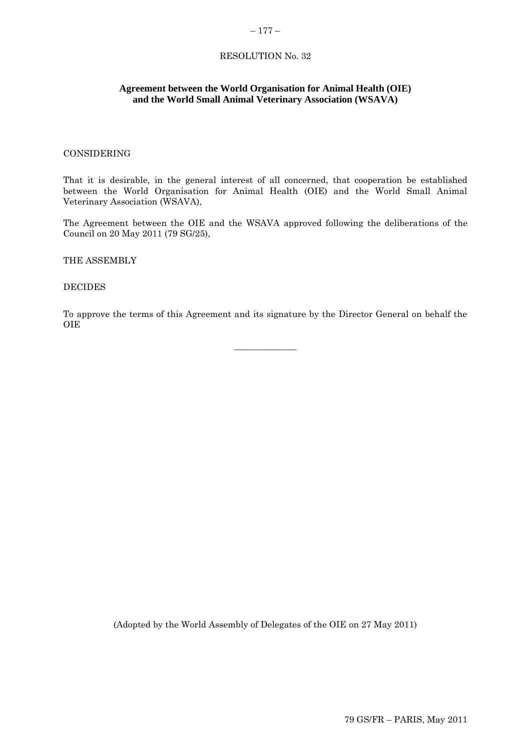#### $-177-$

## RESOLUTION No. 32

## **Agreement between the World Organisation for Animal Health (OIE) and the World Small Animal Veterinary Association (WSAVA)**

## CONSIDERING

That it is desirable, in the general interest of all concerned, that cooperation be established between the World Organisation for Animal Health (OIE) and the World Small Animal Veterinary Association (WSAVA),

The Agreement between the OIE and the WSAVA approved following the deliberations of the Council on 20 May 2011 (79 SG/25),

THE ASSEMBLY

DECIDES

To approve the terms of this Agreement and its signature by the Director General on behalf the OIE

 $\overline{\phantom{a}}$  , where  $\overline{\phantom{a}}$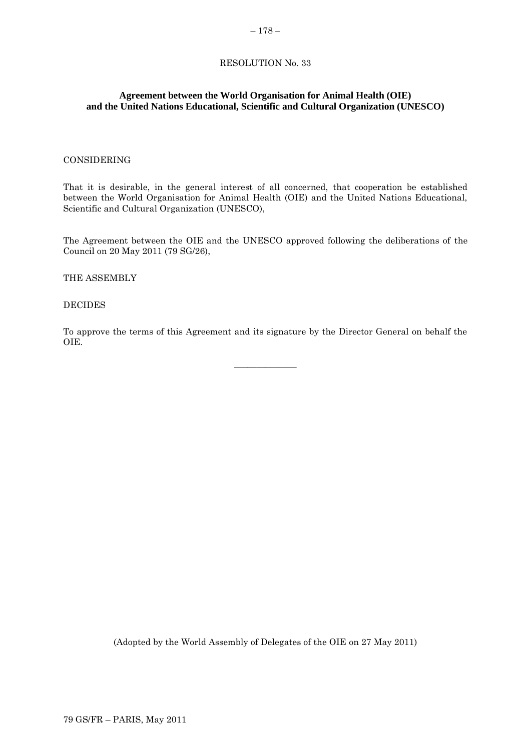## **Agreement between the World Organisation for Animal Health (OIE) and the United Nations Educational, Scientific and Cultural Organization (UNESCO)**

#### CONSIDERING

That it is desirable, in the general interest of all concerned, that cooperation be established between the World Organisation for Animal Health (OIE) and the United Nations Educational, Scientific and Cultural Organization (UNESCO),

The Agreement between the OIE and the UNESCO approved following the deliberations of the Council on 20 May 2011 (79 SG/26),

#### THE ASSEMBLY

#### DECIDES

To approve the terms of this Agreement and its signature by the Director General on behalf the OIE.

 $\overline{\phantom{a}}$  , where  $\overline{\phantom{a}}$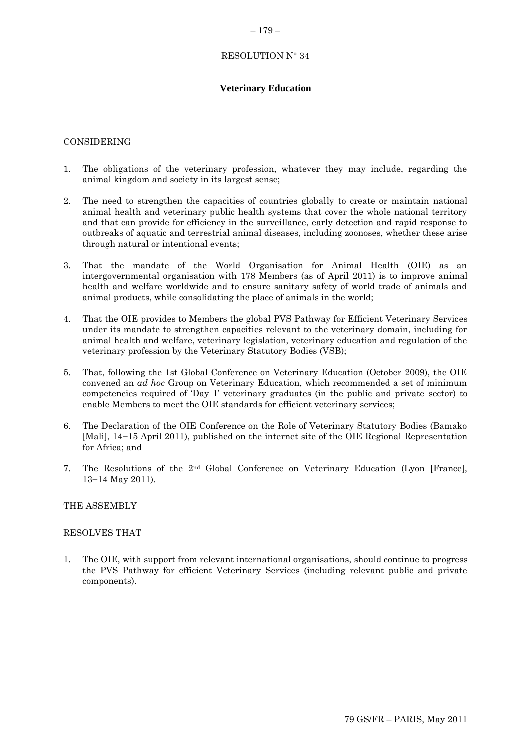## RESOLUTION N° 34

## **Veterinary Education**

#### CONSIDERING

- 1. The obligations of the veterinary profession, whatever they may include, regarding the animal kingdom and society in its largest sense;
- 2. The need to strengthen the capacities of countries globally to create or maintain national animal health and veterinary public health systems that cover the whole national territory and that can provide for efficiency in the surveillance, early detection and rapid response to outbreaks of aquatic and terrestrial animal diseases, including zoonoses, whether these arise through natural or intentional events;
- 3. That the mandate of the World Organisation for Animal Health (OIE) as an intergovernmental organisation with 178 Members (as of April 2011) is to improve animal health and welfare worldwide and to ensure sanitary safety of world trade of animals and animal products, while consolidating the place of animals in the world;
- 4. That the OIE provides to Members the global PVS Pathway for Efficient Veterinary Services under its mandate to strengthen capacities relevant to the veterinary domain, including for animal health and welfare, veterinary legislation, veterinary education and regulation of the veterinary profession by the Veterinary Statutory Bodies (VSB);
- 5. That, following the 1st Global Conference on Veterinary Education (October 2009), the OIE convened an *ad hoc* Group on Veterinary Education, which recommended a set of minimum competencies required of "Day 1" veterinary graduates (in the public and private sector) to enable Members to meet the OIE standards for efficient veterinary services;
- 6. The Declaration of the OIE Conference on the Role of Veterinary Statutory Bodies (Bamako [Mali], 14−15 April 2011), published on the internet site of the OIE Regional Representation for Africa; and
- 7. The Resolutions of the 2nd Global Conference on Veterinary Education (Lyon [France], 13−14 May 2011).

#### THE ASSEMBLY

#### RESOLVES THAT

1. The OIE, with support from relevant international organisations, should continue to progress the PVS Pathway for efficient Veterinary Services (including relevant public and private components).